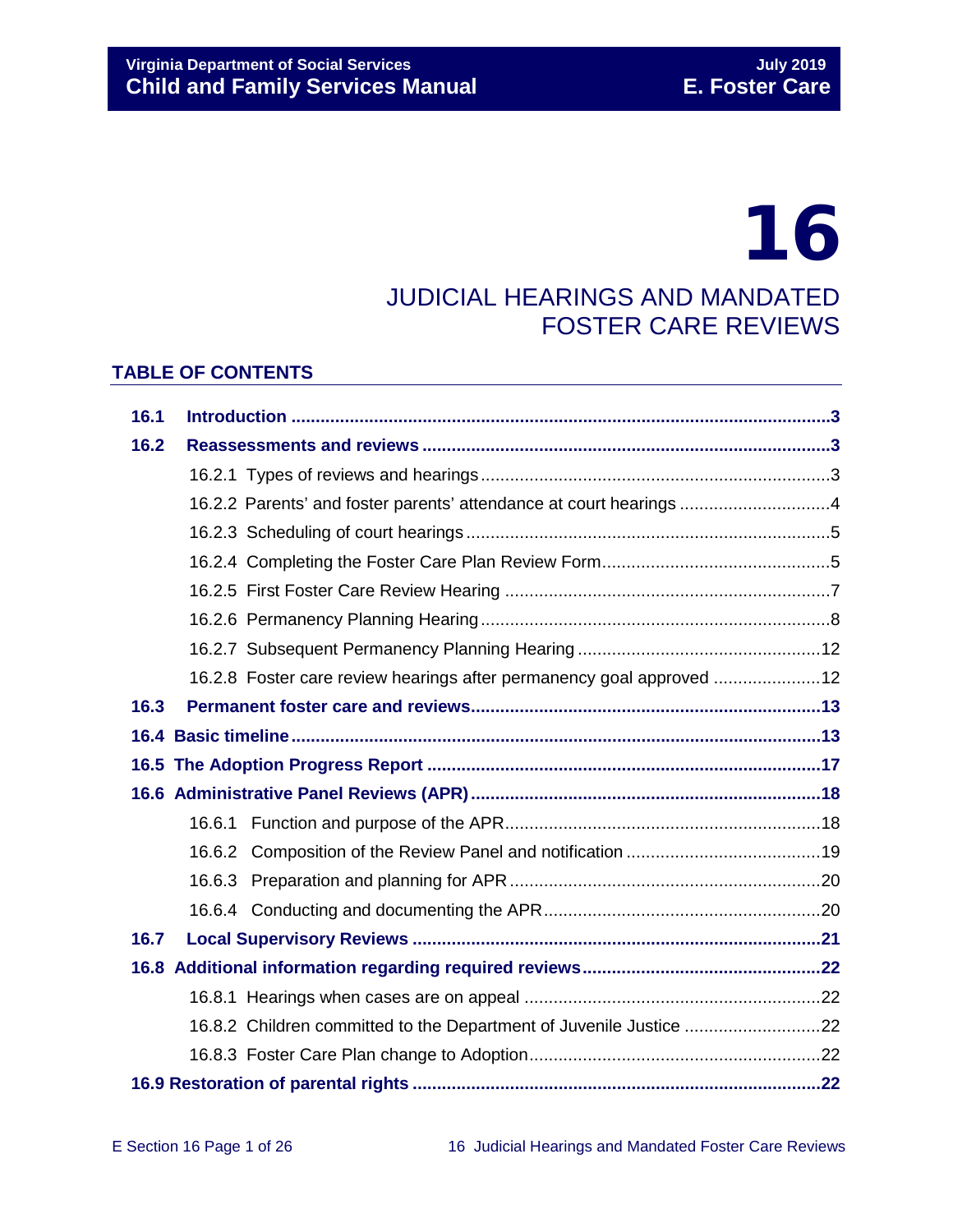# 16

## JUDICIAL HEARINGS AND MANDATED FOSTER CARE REVIEWS

## **TABLE OF CONTENTS**

| 16.1 |  |                                                                      |  |  |
|------|--|----------------------------------------------------------------------|--|--|
| 16.2 |  |                                                                      |  |  |
|      |  |                                                                      |  |  |
|      |  | 16.2.2 Parents' and foster parents' attendance at court hearings 4   |  |  |
|      |  |                                                                      |  |  |
|      |  |                                                                      |  |  |
|      |  |                                                                      |  |  |
|      |  |                                                                      |  |  |
|      |  |                                                                      |  |  |
|      |  | 16.2.8 Foster care review hearings after permanency goal approved 12 |  |  |
| 16.3 |  |                                                                      |  |  |
|      |  |                                                                      |  |  |
|      |  |                                                                      |  |  |
|      |  |                                                                      |  |  |
|      |  |                                                                      |  |  |
|      |  |                                                                      |  |  |
|      |  |                                                                      |  |  |
|      |  |                                                                      |  |  |
| 16.7 |  |                                                                      |  |  |
|      |  |                                                                      |  |  |
|      |  |                                                                      |  |  |
|      |  | 16.8.2 Children committed to the Department of Juvenile Justice 22   |  |  |
|      |  |                                                                      |  |  |
|      |  |                                                                      |  |  |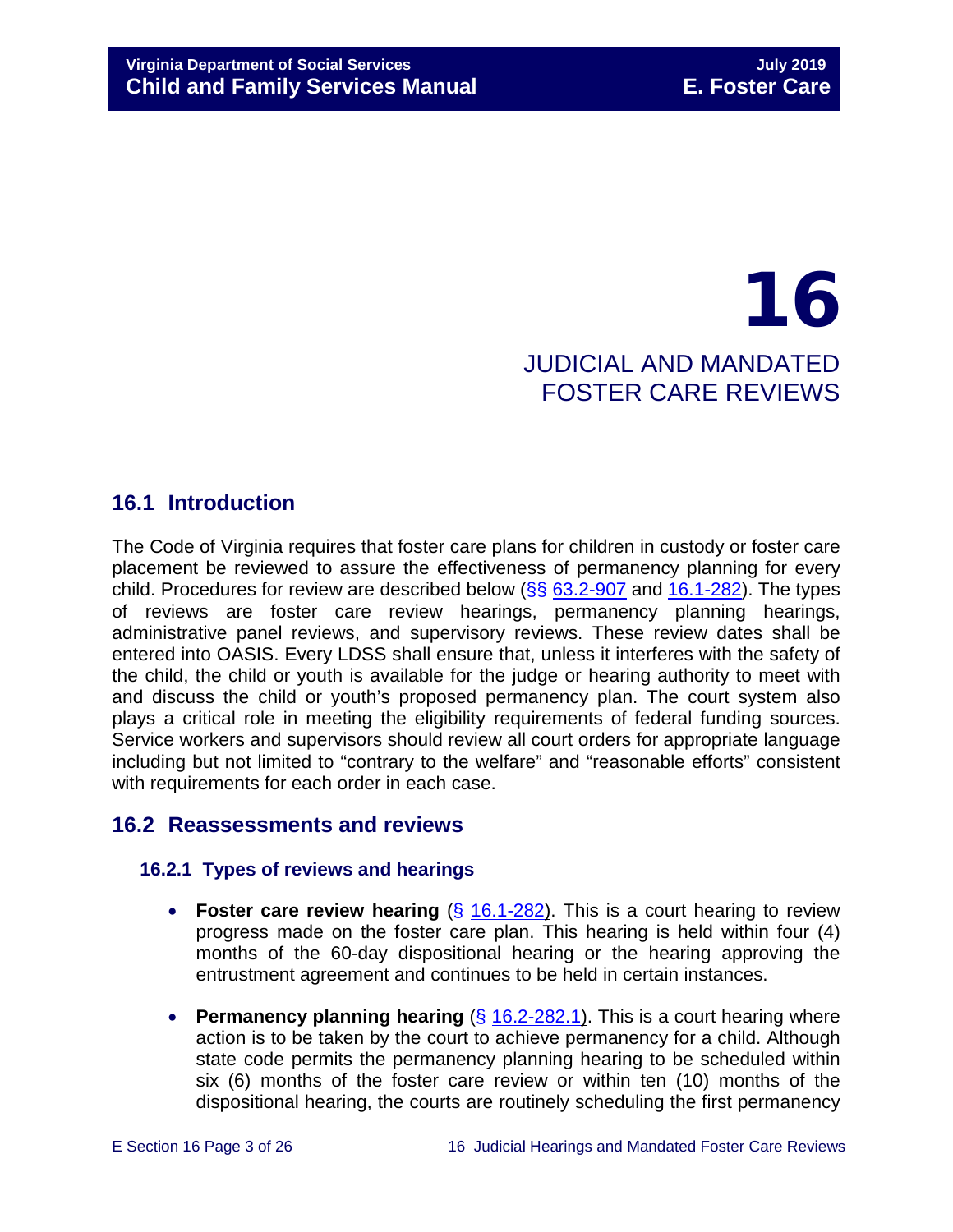## 16 JUDICIAL AND MANDATED FOSTER CARE REVIEWS

## <span id="page-2-0"></span>**16.1 Introduction**

The Code of Virginia requires that foster care plans for children in custody or foster care placement be reviewed to assure the effectiveness of permanency planning for every child. Procedures for review are described below  $(\frac{6}{5}, \frac{63.2-907}{6}]$  $(\frac{6}{5}, \frac{63.2-907}{6}]$  $(\frac{6}{5}, \frac{63.2-907}{6}]$  and  $16.1-282$ ). The types of reviews are foster care review hearings, permanency planning hearings, administrative panel reviews, and supervisory reviews. These review dates shall be entered into OASIS. Every LDSS shall ensure that, unless it interferes with the safety of the child, the child or youth is available for the judge or hearing authority to meet with and discuss the child or youth's proposed permanency plan. The court system also plays a critical role in meeting the eligibility requirements of federal funding sources. Service workers and supervisors should review all court orders for appropriate language including but not limited to "contrary to the welfare" and "reasonable efforts" consistent with requirements for each order in each case.

## <span id="page-2-1"></span>**16.2 Reassessments and reviews**

## <span id="page-2-2"></span>**16.2.1 Types of reviews and hearings**

- **Foster care review hearing** (§ [16.1-282\)](http://law.lis.virginia.gov/vacode/16.1-282/). This is a court hearing to review progress made on the foster care plan. This hearing is held within four (4) months of the 60-day dispositional hearing or the hearing approving the entrustment agreement and continues to be held in certain instances.
- **Permanency planning hearing** (§ [16.2-282.1\)](http://law.lis.virginia.gov/vacode/title16.1/chapter11/section16.1-282.1/). This is a court hearing where action is to be taken by the court to achieve permanency for a child. Although state code permits the permanency planning hearing to be scheduled within six (6) months of the foster care review or within ten (10) months of the dispositional hearing, the courts are routinely scheduling the first permanency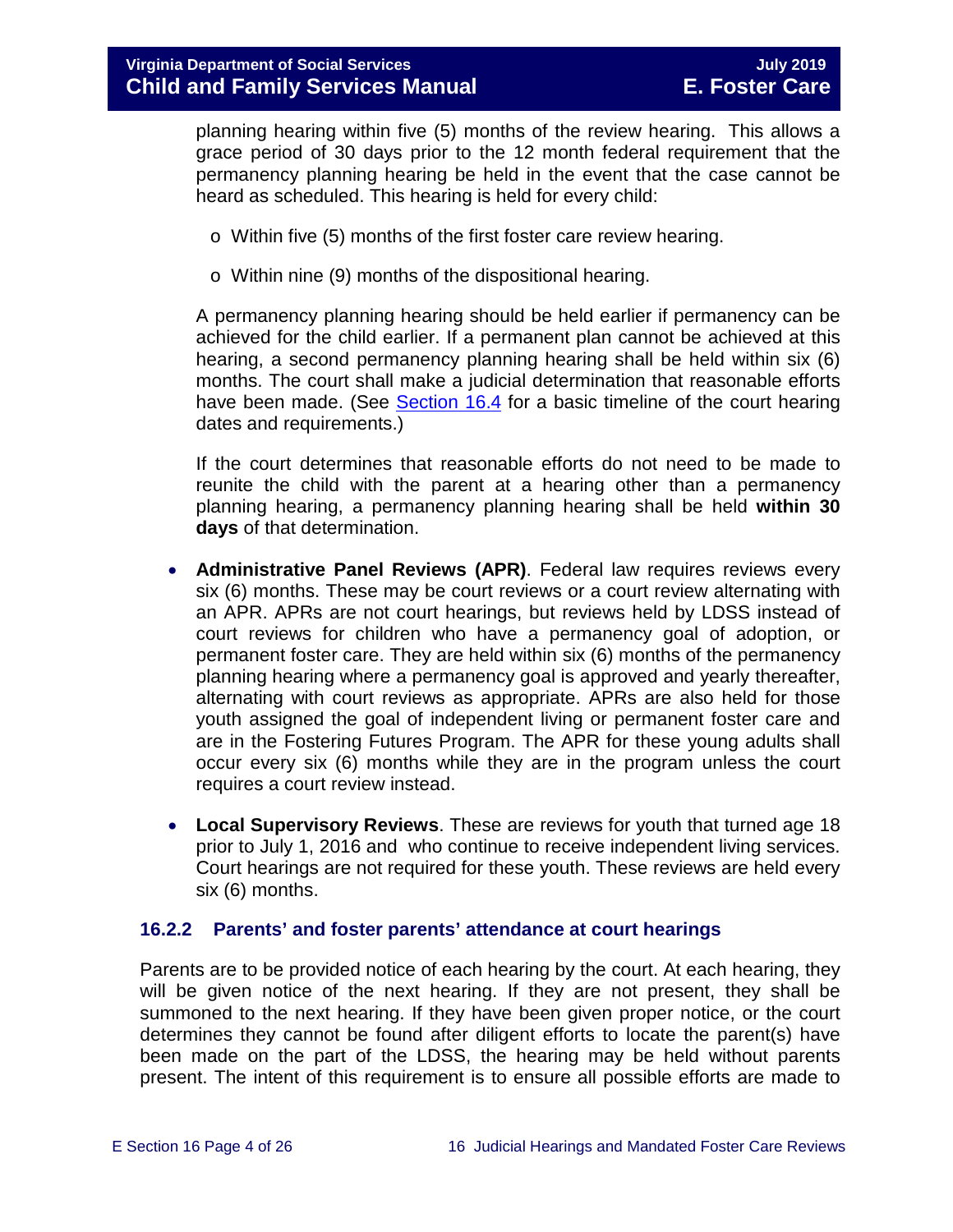planning hearing within five (5) months of the review hearing. This allows a grace period of 30 days prior to the 12 month federal requirement that the permanency planning hearing be held in the event that the case cannot be heard as scheduled. This hearing is held for every child:

- o Within five (5) months of the first foster care review hearing.
- o Within nine (9) months of the dispositional hearing.

A permanency planning hearing should be held earlier if permanency can be achieved for the child earlier. If a permanent plan cannot be achieved at this hearing, a second permanency planning hearing shall be held within six (6) months. The court shall make a judicial determination that reasonable efforts have been made. (See [Section](#page-12-1) 16.4 for a basic timeline of the court hearing dates and requirements.)

If the court determines that reasonable efforts do not need to be made to reunite the child with the parent at a hearing other than a permanency planning hearing, a permanency planning hearing shall be held **within 30 days** of that determination.

- **Administrative Panel Reviews (APR)**. Federal law requires reviews every six (6) months. These may be court reviews or a court review alternating with an APR. APRs are not court hearings, but reviews held by LDSS instead of court reviews for children who have a permanency goal of adoption, or permanent foster care. They are held within six (6) months of the permanency planning hearing where a permanency goal is approved and yearly thereafter, alternating with court reviews as appropriate. APRs are also held for those youth assigned the goal of independent living or permanent foster care and are in the Fostering Futures Program. The APR for these young adults shall occur every six (6) months while they are in the program unless the court requires a court review instead.
- **Local Supervisory Reviews**. These are reviews for youth that turned age 18 prior to July 1, 2016 and who continue to receive independent living services. Court hearings are not required for these youth. These reviews are held every six (6) months.

## <span id="page-3-0"></span>**16.2.2 Parents' and foster parents' attendance at court hearings**

Parents are to be provided notice of each hearing by the court. At each hearing, they will be given notice of the next hearing. If they are not present, they shall be summoned to the next hearing. If they have been given proper notice, or the court determines they cannot be found after diligent efforts to locate the parent(s) have been made on the part of the LDSS, the hearing may be held without parents present. The intent of this requirement is to ensure all possible efforts are made to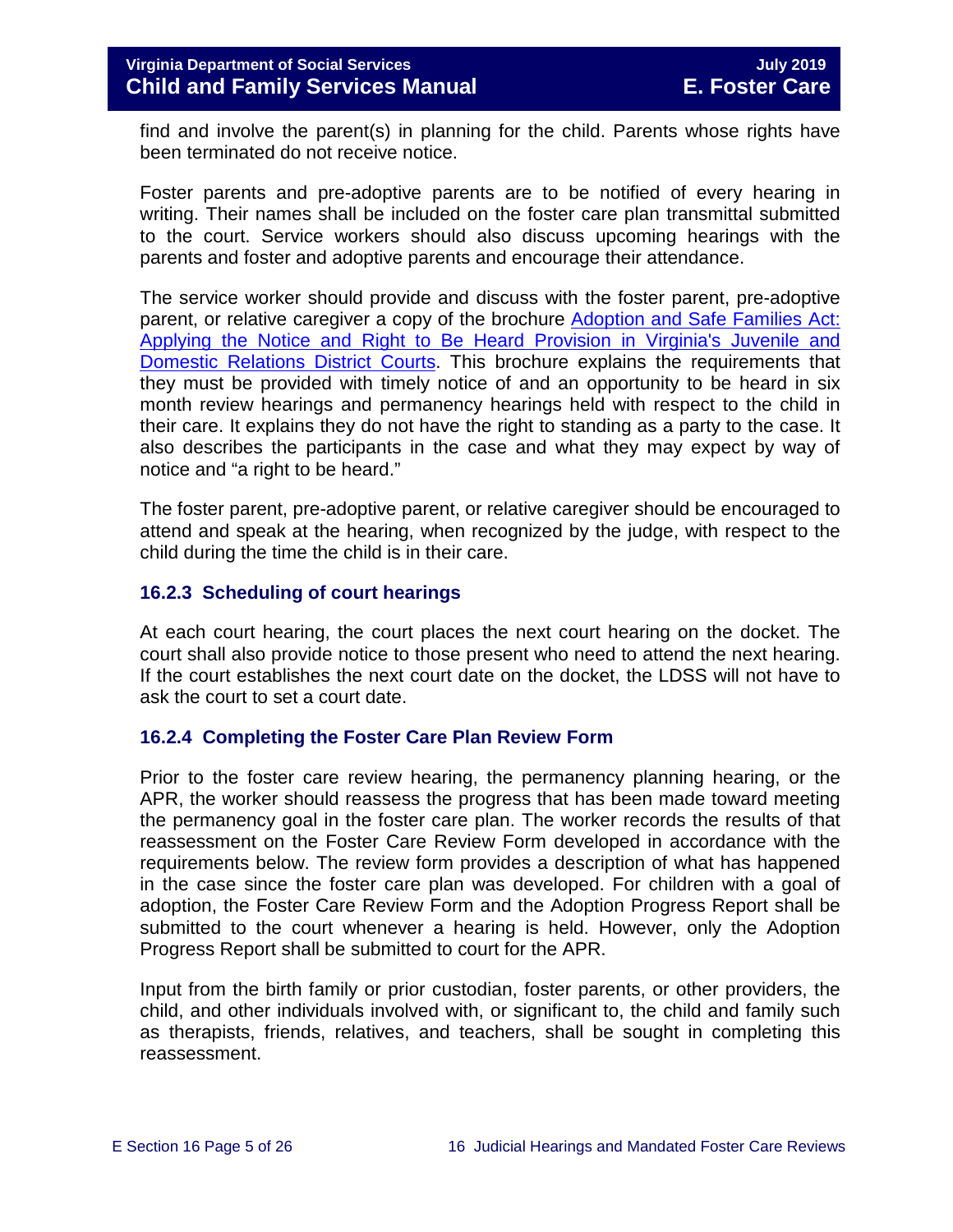find and involve the parent(s) in planning for the child. Parents whose rights have been terminated do not receive notice.

Foster parents and pre-adoptive parents are to be notified of every hearing in writing. Their names shall be included on the foster care plan transmittal submitted to the court. Service workers should also discuss upcoming hearings with the parents and foster and adoptive parents and encourage their attendance.

The service worker should provide and discuss with the foster parent, pre-adoptive parent, or relative caregiver a copy of the brochure [Adoption and Safe Families Act:](http://www.courts.state.va.us/courtadmin/aoc/cip/home.html)  [Applying the Notice and Right to Be Heard Provision in Virginia's Juvenile and](http://www.courts.state.va.us/courtadmin/aoc/cip/home.html)  [Domestic Relations District Courts.](http://www.courts.state.va.us/courtadmin/aoc/cip/home.html) This brochure explains the requirements that they must be provided with timely notice of and an opportunity to be heard in six month review hearings and permanency hearings held with respect to the child in their care. It explains they do not have the right to standing as a party to the case. It also describes the participants in the case and what they may expect by way of notice and "a right to be heard."

The foster parent, pre-adoptive parent, or relative caregiver should be encouraged to attend and speak at the hearing, when recognized by the judge, with respect to the child during the time the child is in their care.

## <span id="page-4-0"></span>**16.2.3 Scheduling of court hearings**

At each court hearing, the court places the next court hearing on the docket. The court shall also provide notice to those present who need to attend the next hearing. If the court establishes the next court date on the docket, the LDSS will not have to ask the court to set a court date.

## <span id="page-4-1"></span>**16.2.4 Completing the Foster Care Plan Review Form**

Prior to the foster care review hearing, the permanency planning hearing, or the APR, the worker should reassess the progress that has been made toward meeting the permanency goal in the foster care plan. The worker records the results of that reassessment on the Foster Care Review Form developed in accordance with the requirements below. The review form provides a description of what has happened in the case since the foster care plan was developed. For children with a goal of adoption, the Foster Care Review Form and the Adoption Progress Report shall be submitted to the court whenever a hearing is held. However, only the Adoption Progress Report shall be submitted to court for the APR.

Input from the birth family or prior custodian, foster parents, or other providers, the child, and other individuals involved with, or significant to, the child and family such as therapists, friends, relatives, and teachers, shall be sought in completing this reassessment.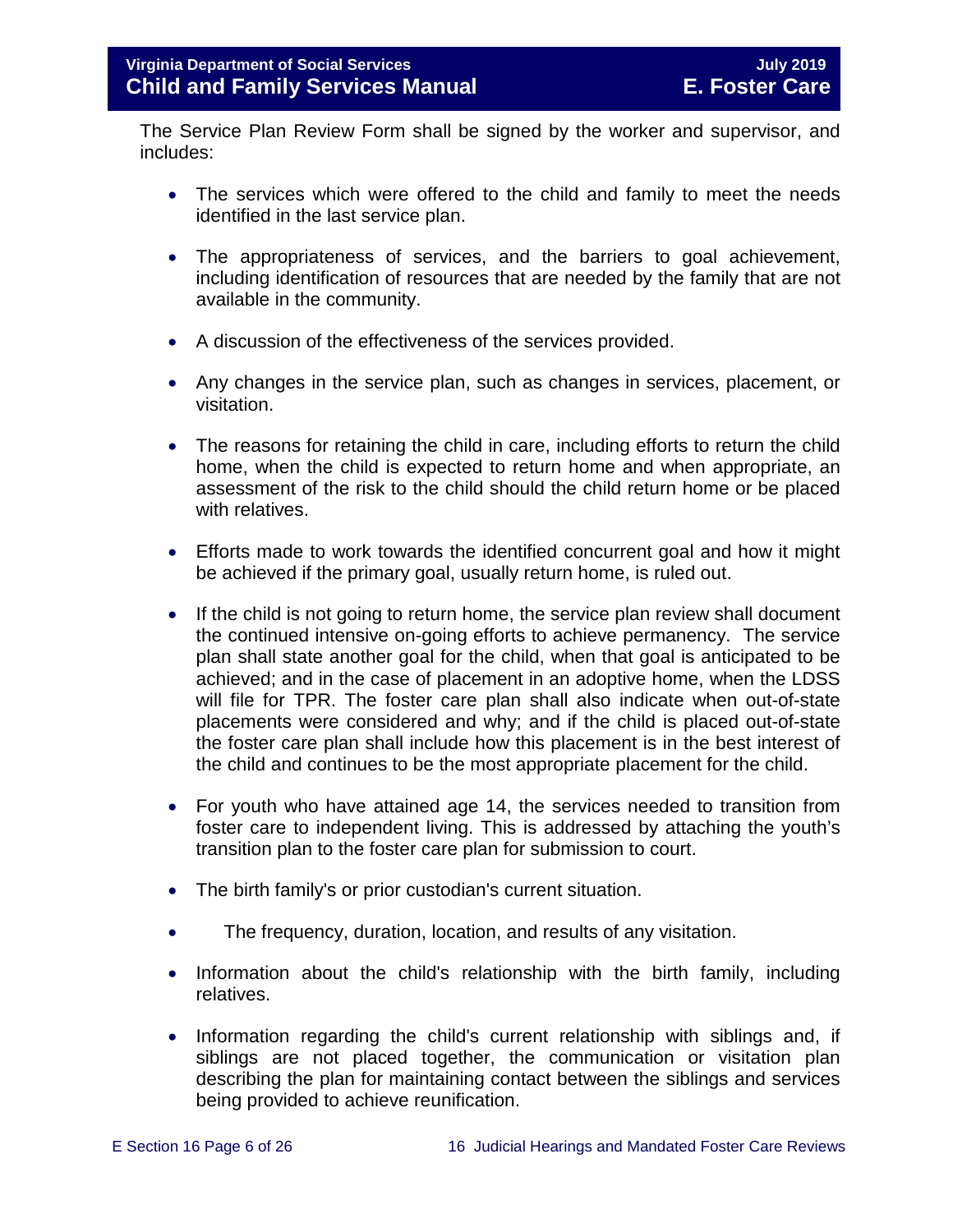The Service Plan Review Form shall be signed by the worker and supervisor, and includes:

- The services which were offered to the child and family to meet the needs identified in the last service plan.
- The appropriateness of services, and the barriers to goal achievement, including identification of resources that are needed by the family that are not available in the community.
- A discussion of the effectiveness of the services provided.
- Any changes in the service plan, such as changes in services, placement, or visitation.
- The reasons for retaining the child in care, including efforts to return the child home, when the child is expected to return home and when appropriate, an assessment of the risk to the child should the child return home or be placed with relatives.
- Efforts made to work towards the identified concurrent goal and how it might be achieved if the primary goal, usually return home, is ruled out.
- If the child is not going to return home, the service plan review shall document the continued intensive on-going efforts to achieve permanency. The service plan shall state another goal for the child, when that goal is anticipated to be achieved; and in the case of placement in an adoptive home, when the LDSS will file for TPR. The foster care plan shall also indicate when out-of-state placements were considered and why; and if the child is placed out-of-state the foster care plan shall include how this placement is in the best interest of the child and continues to be the most appropriate placement for the child.
- For youth who have attained age 14, the services needed to transition from foster care to independent living. This is addressed by attaching the youth's transition plan to the foster care plan for submission to court.
- The birth family's or prior custodian's current situation.
- The frequency, duration, location, and results of any visitation.
- Information about the child's relationship with the birth family, including relatives.
- Information regarding the child's current relationship with siblings and, if siblings are not placed together, the communication or visitation plan describing the plan for maintaining contact between the siblings and services being provided to achieve reunification.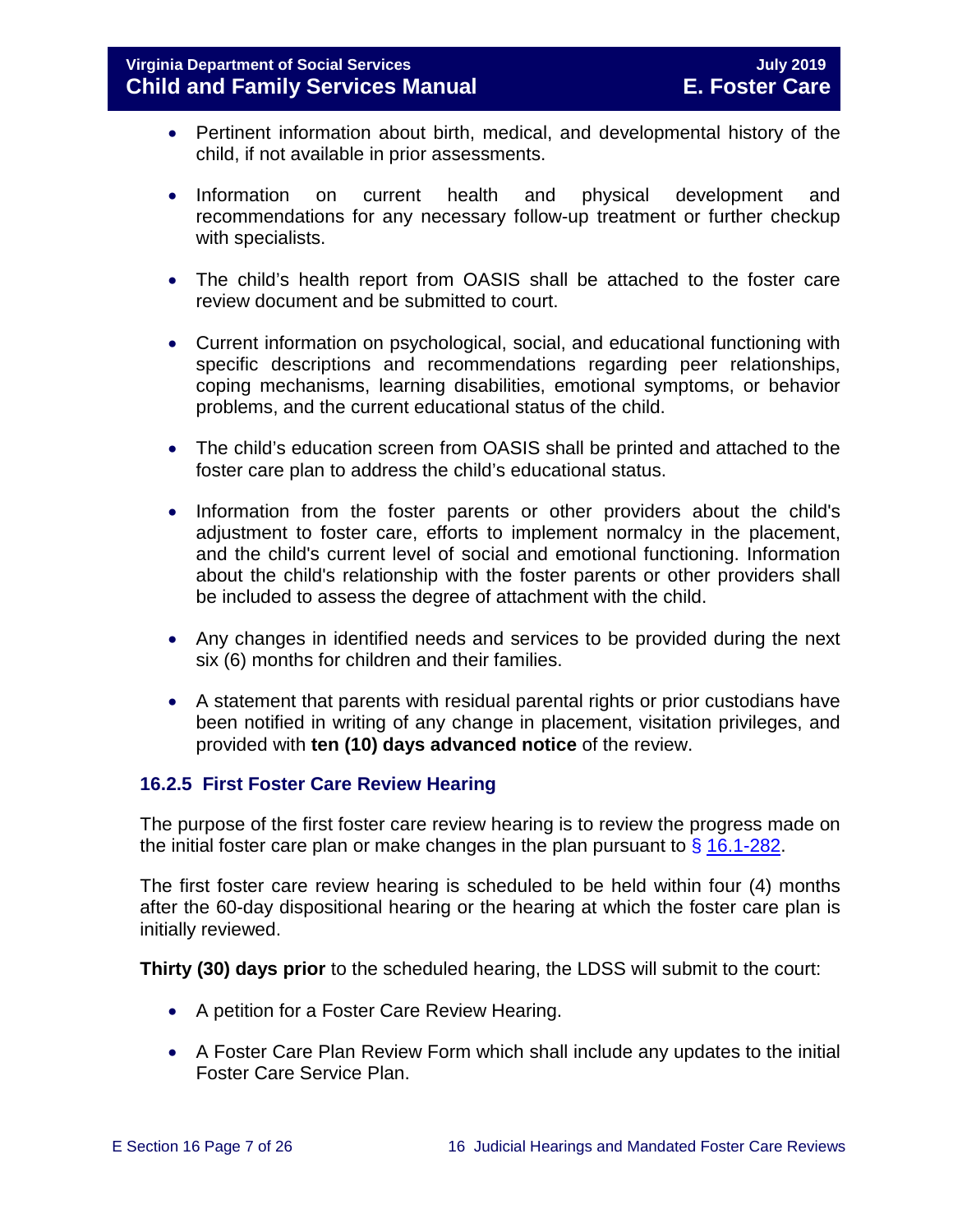- Pertinent information about birth, medical, and developmental history of the child, if not available in prior assessments.
- Information on current health and physical development and recommendations for any necessary follow-up treatment or further checkup with specialists.
- The child's health report from OASIS shall be attached to the foster care review document and be submitted to court.
- Current information on psychological, social, and educational functioning with specific descriptions and recommendations regarding peer relationships, coping mechanisms, learning disabilities, emotional symptoms, or behavior problems, and the current educational status of the child.
- The child's education screen from OASIS shall be printed and attached to the foster care plan to address the child's educational status.
- Information from the foster parents or other providers about the child's adjustment to foster care, efforts to implement normalcy in the placement, and the child's current level of social and emotional functioning. Information about the child's relationship with the foster parents or other providers shall be included to assess the degree of attachment with the child.
- Any changes in identified needs and services to be provided during the next six (6) months for children and their families.
- A statement that parents with residual parental rights or prior custodians have been notified in writing of any change in placement, visitation privileges, and provided with **ten (10) days advanced notice** of the review.

## <span id="page-6-0"></span>**16.2.5 First Foster Care Review Hearing**

The purpose of the first foster care review hearing is to review the progress made on the initial foster care plan or make changes in the plan pursuant to  $\frac{6}{9}$  [16.1-282.](http://law.lis.virginia.gov/vacode/title16.1/chapter11/section16.1-282/)

The first foster care review hearing is scheduled to be held within four (4) months after the 60-day dispositional hearing or the hearing at which the foster care plan is initially reviewed.

**Thirty (30) days prior** to the scheduled hearing, the LDSS will submit to the court:

- A petition for a Foster Care Review Hearing.
- A Foster Care Plan Review Form which shall include any updates to the initial Foster Care Service Plan.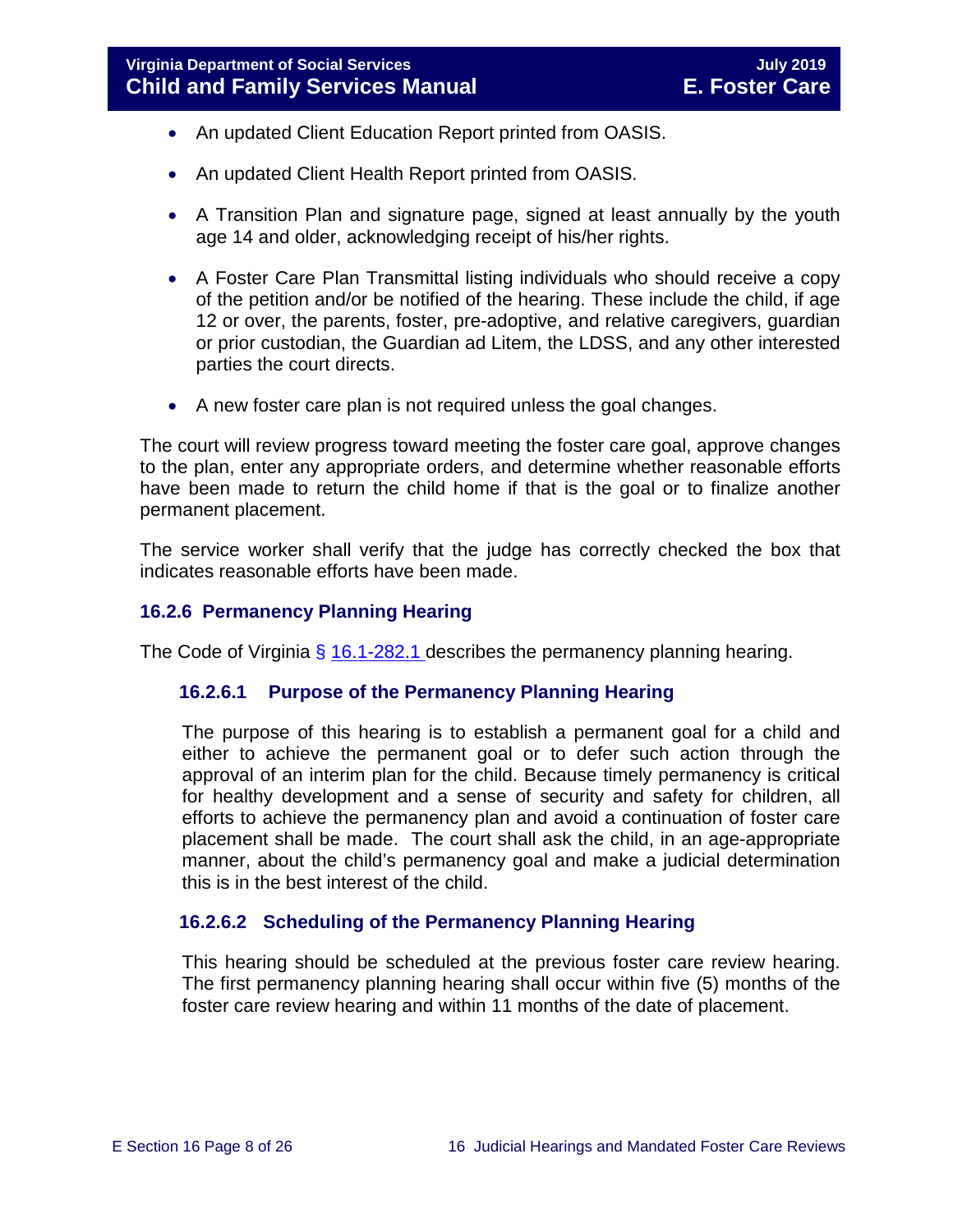- An updated Client Education Report printed from OASIS.
- An updated Client Health Report printed from OASIS.
- A Transition Plan and signature page, signed at least annually by the youth age 14 and older, acknowledging receipt of his/her rights.
- A Foster Care Plan Transmittal listing individuals who should receive a copy of the petition and/or be notified of the hearing. These include the child, if age 12 or over, the parents, foster, pre-adoptive, and relative caregivers, guardian or prior custodian, the Guardian ad Litem, the LDSS, and any other interested parties the court directs.
- A new foster care plan is not required unless the goal changes.

The court will review progress toward meeting the foster care goal, approve changes to the plan, enter any appropriate orders, and determine whether reasonable efforts have been made to return the child home if that is the goal or to finalize another permanent placement.

The service worker shall verify that the judge has correctly checked the box that indicates reasonable efforts have been made.

#### <span id="page-7-0"></span>**16.2.6 Permanency Planning Hearing**

The Code of Virginia  $\frac{6}{9}$  [16.1-282.1](https://law.lis.virginia.gov/vacode/16.1-282.1/) describes the permanency planning hearing.

#### **16.2.6.1 Purpose of the Permanency Planning Hearing**

The purpose of this hearing is to establish a permanent goal for a child and either to achieve the permanent goal or to defer such action through the approval of an interim plan for the child. Because timely permanency is critical for healthy development and a sense of security and safety for children, all efforts to achieve the permanency plan and avoid a continuation of foster care placement shall be made. The court shall ask the child, in an age-appropriate manner, about the child's permanency goal and make a judicial determination this is in the best interest of the child.

## **16.2.6.2 Scheduling of the Permanency Planning Hearing**

This hearing should be scheduled at the previous foster care review hearing. The first permanency planning hearing shall occur within five (5) months of the foster care review hearing and within 11 months of the date of placement.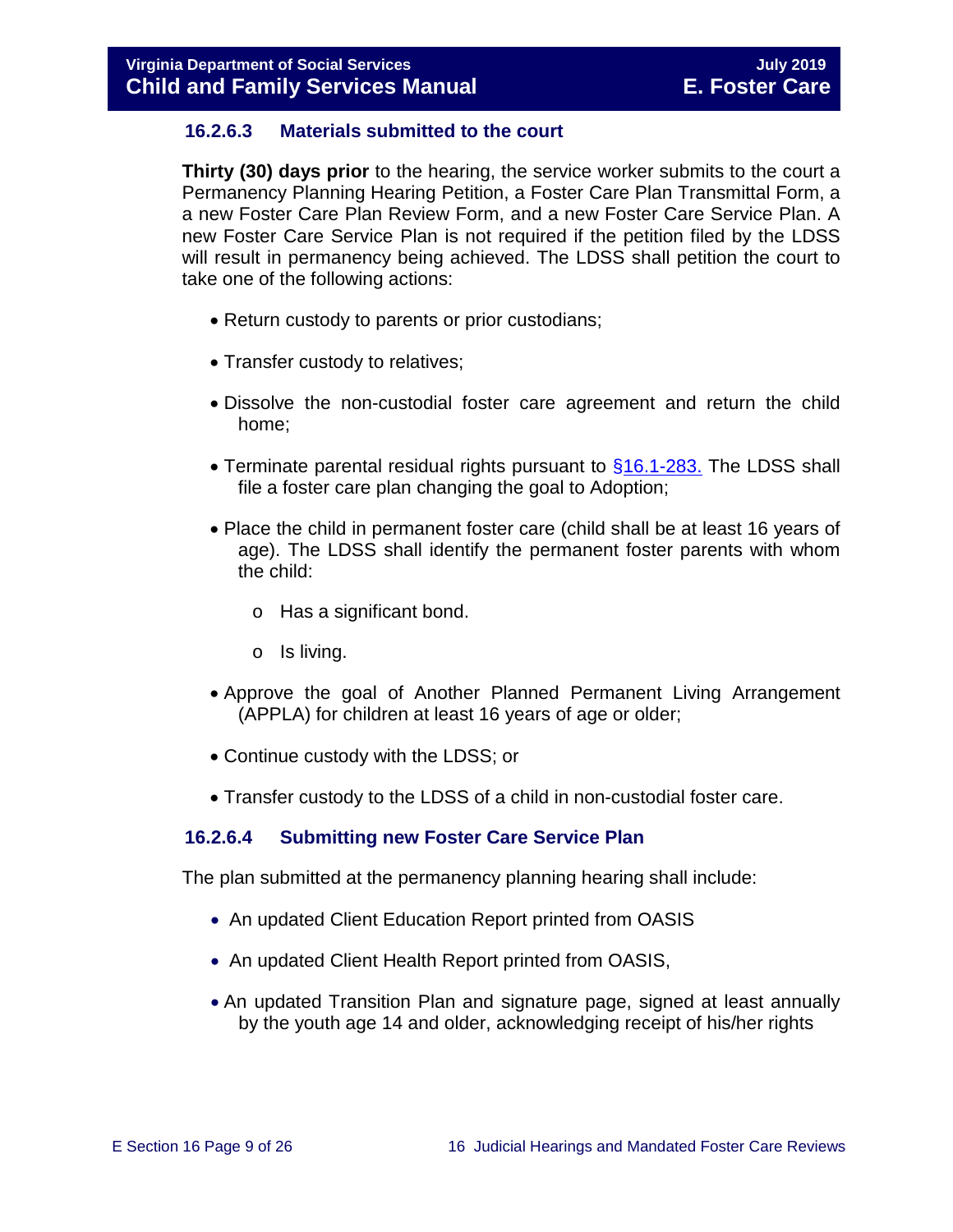## **16.2.6.3 Materials submitted to the court**

**Thirty (30) days prior** to the hearing, the service worker submits to the court a Permanency Planning Hearing Petition, a Foster Care Plan Transmittal Form, a a new Foster Care Plan Review Form, and a new Foster Care Service Plan. A new Foster Care Service Plan is not required if the petition filed by the LDSS will result in permanency being achieved. The LDSS shall petition the court to take one of the following actions:

- Return custody to parents or prior custodians;
- Transfer custody to relatives;
- Dissolve the non-custodial foster care agreement and return the child home;
- Terminate parental residual rights pursuant to [§16.1-283.](http://law.lis.virginia.gov/vacode/16.1-283/) The LDSS shall file a foster care plan changing the goal to Adoption;
- Place the child in permanent foster care (child shall be at least 16 years of age). The LDSS shall identify the permanent foster parents with whom the child:
	- o Has a significant bond.
	- o Is living.
- Approve the goal of Another Planned Permanent Living Arrangement (APPLA) for children at least 16 years of age or older;
- Continue custody with the LDSS; or
- Transfer custody to the LDSS of a child in non-custodial foster care.

## **16.2.6.4 Submitting new Foster Care Service Plan**

The plan submitted at the permanency planning hearing shall include:

- An updated Client Education Report printed from OASIS
- An updated Client Health Report printed from OASIS,
- An updated Transition Plan and signature page, signed at least annually by the youth age 14 and older, acknowledging receipt of his/her rights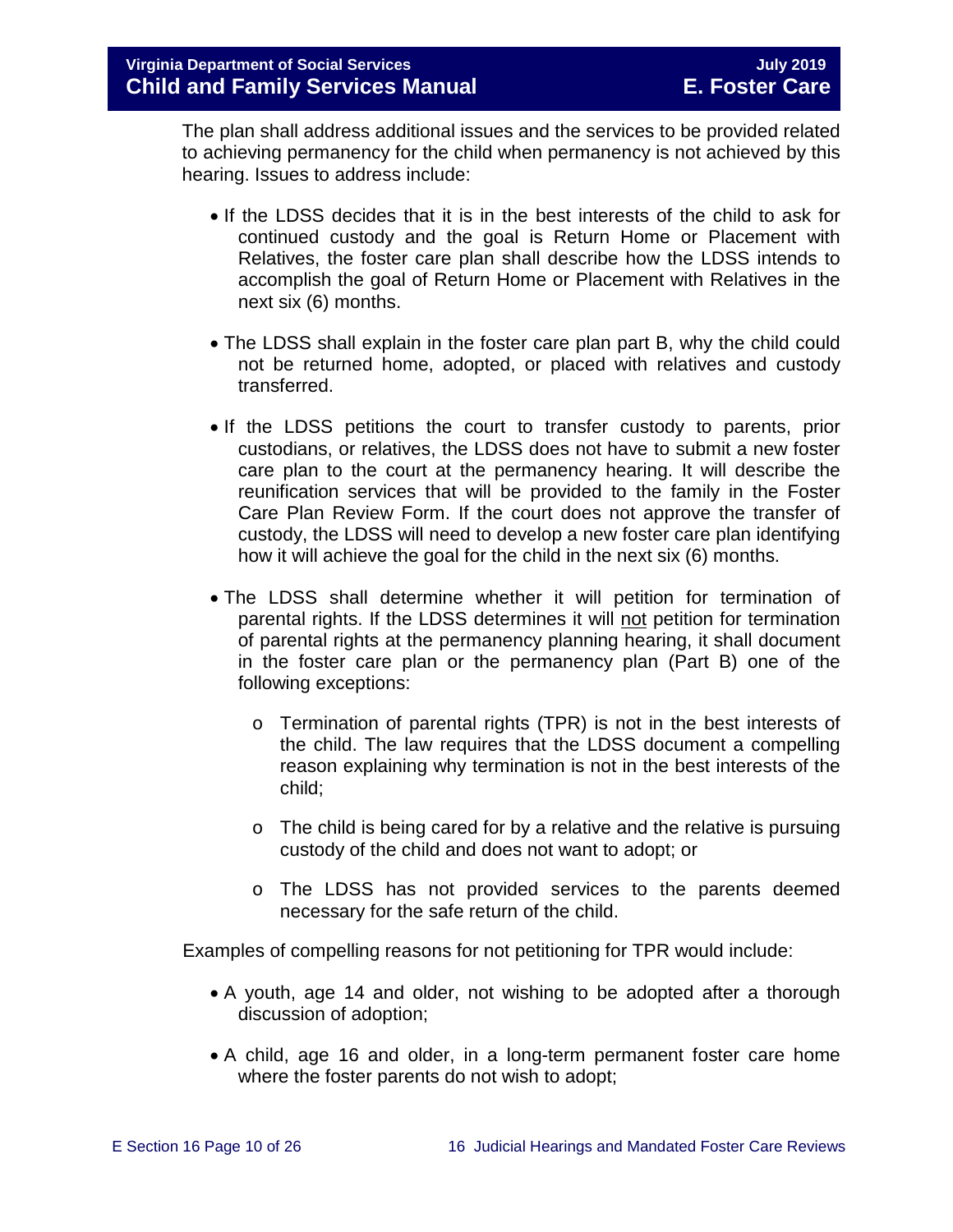The plan shall address additional issues and the services to be provided related to achieving permanency for the child when permanency is not achieved by this hearing. Issues to address include:

- If the LDSS decides that it is in the best interests of the child to ask for continued custody and the goal is Return Home or Placement with Relatives, the foster care plan shall describe how the LDSS intends to accomplish the goal of Return Home or Placement with Relatives in the next six (6) months.
- The LDSS shall explain in the foster care plan part B, why the child could not be returned home, adopted, or placed with relatives and custody transferred.
- If the LDSS petitions the court to transfer custody to parents, prior custodians, or relatives, the LDSS does not have to submit a new foster care plan to the court at the permanency hearing. It will describe the reunification services that will be provided to the family in the Foster Care Plan Review Form. If the court does not approve the transfer of custody, the LDSS will need to develop a new foster care plan identifying how it will achieve the goal for the child in the next six (6) months.
- The LDSS shall determine whether it will petition for termination of parental rights. If the LDSS determines it will not petition for termination of parental rights at the permanency planning hearing, it shall document in the foster care plan or the permanency plan (Part B) one of the following exceptions:
	- o Termination of parental rights (TPR) is not in the best interests of the child. The law requires that the LDSS document a compelling reason explaining why termination is not in the best interests of the child;
	- $\circ$  The child is being cared for by a relative and the relative is pursuing custody of the child and does not want to adopt; or
	- o The LDSS has not provided services to the parents deemed necessary for the safe return of the child.

Examples of compelling reasons for not petitioning for TPR would include:

- A youth, age 14 and older, not wishing to be adopted after a thorough discussion of adoption;
- A child, age 16 and older, in a long-term permanent foster care home where the foster parents do not wish to adopt;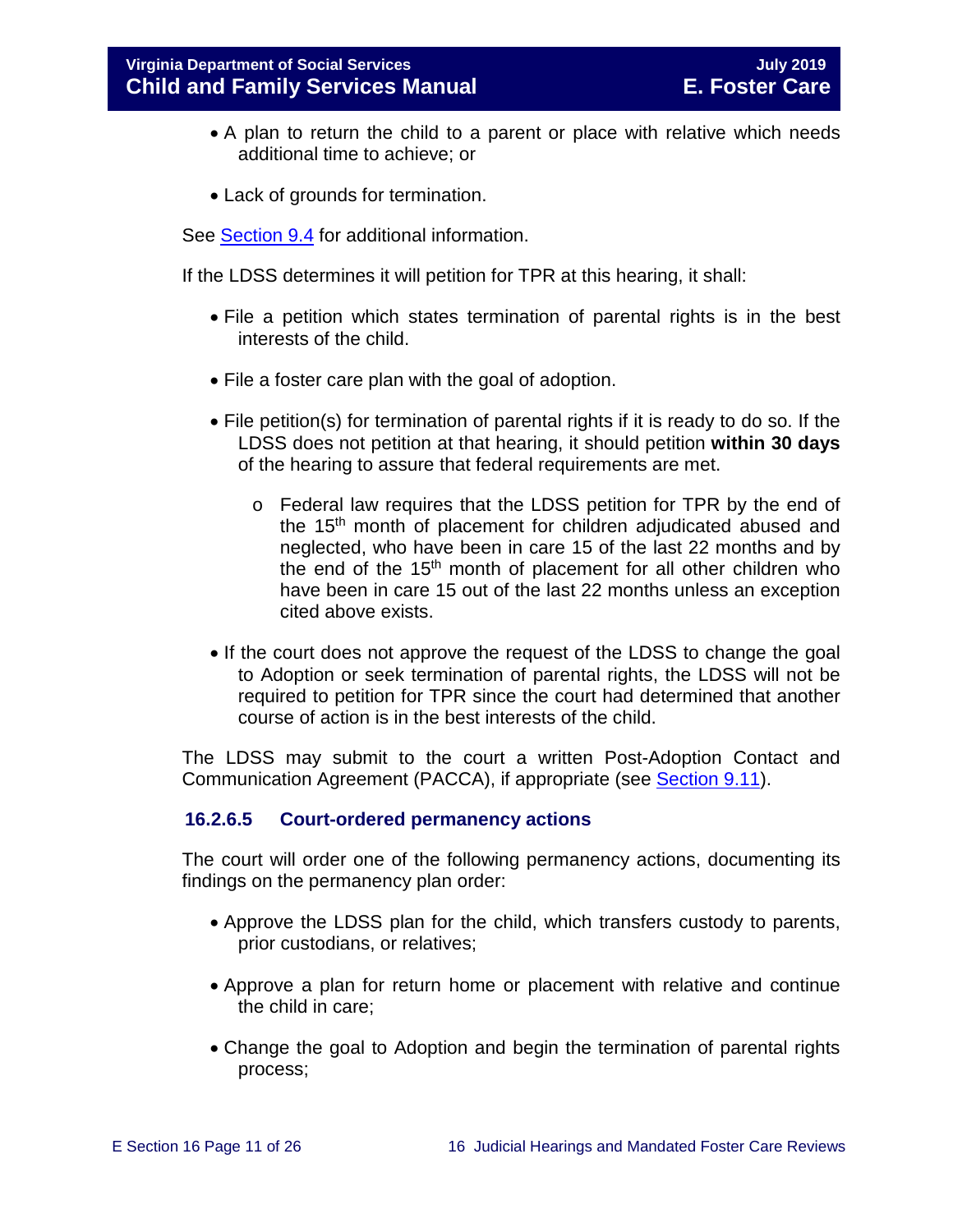- A plan to return the child to a parent or place with relative which needs additional time to achieve; or
- Lack of grounds for termination.

See [Section 9.4](https://fusion.dss.virginia.gov/Portals/%5bdfs%5d/Files/DFS%20Manuals/Foster%20Care%20Manuals/Foster%20Care%20Manual%2007-2019/section_9_achieving_permanency_goal_adoption.pdf#page=5) for additional information.

If the LDSS determines it will petition for TPR at this hearing, it shall:

- File a petition which states termination of parental rights is in the best interests of the child.
- File a foster care plan with the goal of adoption.
- File petition(s) for termination of parental rights if it is ready to do so. If the LDSS does not petition at that hearing, it should petition **within 30 days** of the hearing to assure that federal requirements are met.
	- o Federal law requires that the LDSS petition for TPR by the end of the 15th month of placement for children adjudicated abused and neglected, who have been in care 15 of the last 22 months and by the end of the 15th month of placement for all other children who have been in care 15 out of the last 22 months unless an exception cited above exists.
- If the court does not approve the request of the LDSS to change the goal to Adoption or seek termination of parental rights, the LDSS will not be required to petition for TPR since the court had determined that another course of action is in the best interests of the child.

The LDSS may submit to the court a written Post-Adoption Contact and Communication Agreement (PACCA), if appropriate (see [Section 9.11\)](https://fusion.dss.virginia.gov/Portals/%5bdfs%5d/Files/DFS%20Manuals/Foster%20Care%20Manuals/Foster%20Care%20Manual%2007-2019/section_9_achieving_permanency_goal_adoption.pdf#page=39).

## **16.2.6.5 Court-ordered permanency actions**

The court will order one of the following permanency actions, documenting its findings on the permanency plan order:

- Approve the LDSS plan for the child, which transfers custody to parents, prior custodians, or relatives;
- Approve a plan for return home or placement with relative and continue the child in care;
- Change the goal to Adoption and begin the termination of parental rights process;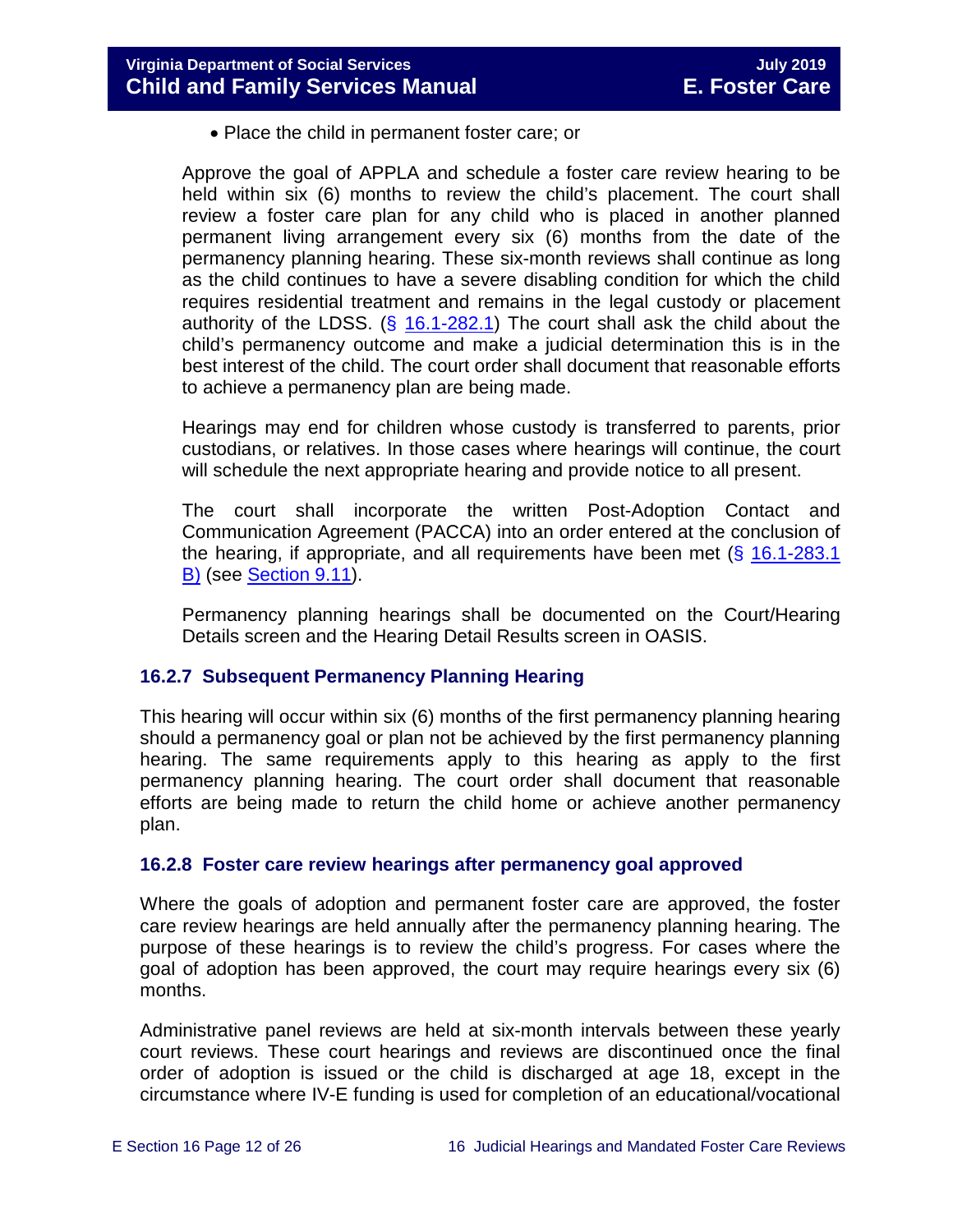• Place the child in permanent foster care; or

Approve the goal of APPLA and schedule a foster care review hearing to be held within six (6) months to review the child's placement. The court shall review a foster care plan for any child who is placed in another planned permanent living arrangement every six (6) months from the date of the permanency planning hearing. These six-month reviews shall continue as long as the child continues to have a severe disabling condition for which the child requires residential treatment and remains in the legal custody or placement authority of the LDSS. (§ [16.1-282.1\)](http://law.lis.virginia.gov/vacode/16.1-282.1/) The court shall ask the child about the child's permanency outcome and make a judicial determination this is in the best interest of the child. The court order shall document that reasonable efforts to achieve a permanency plan are being made.

Hearings may end for children whose custody is transferred to parents, prior custodians, or relatives. In those cases where hearings will continue, the court will schedule the next appropriate hearing and provide notice to all present.

The court shall incorporate the written Post-Adoption Contact and Communication Agreement (PACCA) into an order entered at the conclusion of the hearing, if appropriate, and all requirements have been met  $(\S 16.1-283.1)$ [B\)](http://law.lis.virginia.gov/vacode/16.1-283.1/) (see [Section 9.11\)](https://fusion.dss.virginia.gov/Portals/%5bdfs%5d/Files/DFS%20Manuals/Foster%20Care%20Manuals/Foster%20Care%20Manual%2007-2019/section_9_achieving_permanency_goal_adoption.pdf#page=39).

Permanency planning hearings shall be documented on the Court/Hearing Details screen and the Hearing Detail Results screen in OASIS.

## <span id="page-11-0"></span>**16.2.7 Subsequent Permanency Planning Hearing**

This hearing will occur within six (6) months of the first permanency planning hearing should a permanency goal or plan not be achieved by the first permanency planning hearing. The same requirements apply to this hearing as apply to the first permanency planning hearing. The court order shall document that reasonable efforts are being made to return the child home or achieve another permanency plan.

## <span id="page-11-1"></span>**16.2.8 Foster care review hearings after permanency goal approved**

Where the goals of adoption and permanent foster care are approved, the foster care review hearings are held annually after the permanency planning hearing. The purpose of these hearings is to review the child's progress. For cases where the goal of adoption has been approved, the court may require hearings every six (6) months.

Administrative panel reviews are held at six-month intervals between these yearly court reviews. These court hearings and reviews are discontinued once the final order of adoption is issued or the child is discharged at age 18, except in the circumstance where IV-E funding is used for completion of an educational/vocational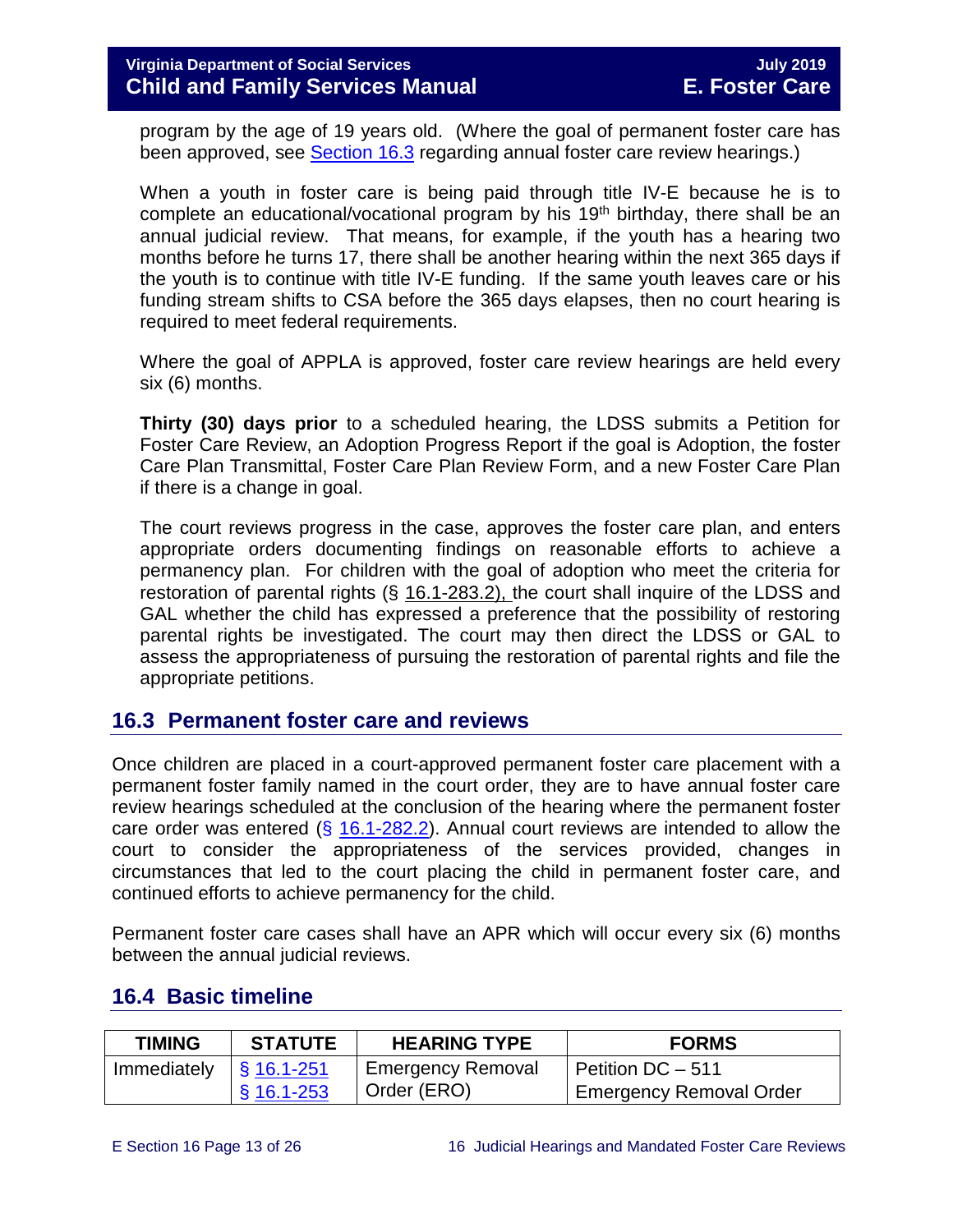program by the age of 19 years old. (Where the goal of permanent foster care has been approved, see [Section 16.3](#page-12-0) regarding annual foster care review hearings.)

When a youth in foster care is being paid through title IV-E because he is to complete an educational/vocational program by his  $19<sup>th</sup>$  birthday, there shall be an annual judicial review. That means, for example, if the youth has a hearing two months before he turns 17, there shall be another hearing within the next 365 days if the youth is to continue with title IV-E funding. If the same youth leaves care or his funding stream shifts to CSA before the 365 days elapses, then no court hearing is required to meet federal requirements.

Where the goal of APPLA is approved, foster care review hearings are held every six (6) months.

**Thirty (30) days prior** to a scheduled hearing, the LDSS submits a Petition for Foster Care Review, an Adoption Progress Report if the goal is Adoption, the foster Care Plan Transmittal, Foster Care Plan Review Form, and a new Foster Care Plan if there is a change in goal.

The court reviews progress in the case, approves the foster care plan, and enters appropriate orders documenting findings on reasonable efforts to achieve a permanency plan. For children with the goal of adoption who meet the criteria for restoration of parental rights (§ 16.1-283.2), the court shall inquire of the LDSS and GAL whether the child has expressed a preference that the possibility of restoring parental rights be investigated. The court may then direct the LDSS or GAL to assess the appropriateness of pursuing the restoration of parental rights and file the appropriate petitions.

## <span id="page-12-0"></span>**16.3 Permanent foster care and reviews**

Once children are placed in a court-approved permanent foster care placement with a permanent foster family named in the court order, they are to have annual foster care review hearings scheduled at the conclusion of the hearing where the permanent foster care order was entered  $(\S 16.1-282.2)$  $(\S 16.1-282.2)$ . Annual court reviews are intended to allow the court to consider the appropriateness of the services provided, changes in circumstances that led to the court placing the child in permanent foster care, and continued efforts to achieve permanency for the child.

Permanent foster care cases shall have an APR which will occur every six (6) months between the annual judicial reviews.

| <b>TIMING</b> | <b>STATUTE</b>      | <b>HEARING TYPE</b>      | <b>FORMS</b>                   |
|---------------|---------------------|--------------------------|--------------------------------|
| Immediately   | $\sqrt{S}$ 16.1-251 | <b>Emergency Removal</b> | Petition DC - 511              |
|               | $§$ 16.1-253        | Order (ERO)              | <b>Emergency Removal Order</b> |

## <span id="page-12-1"></span>**16.4 Basic timeline**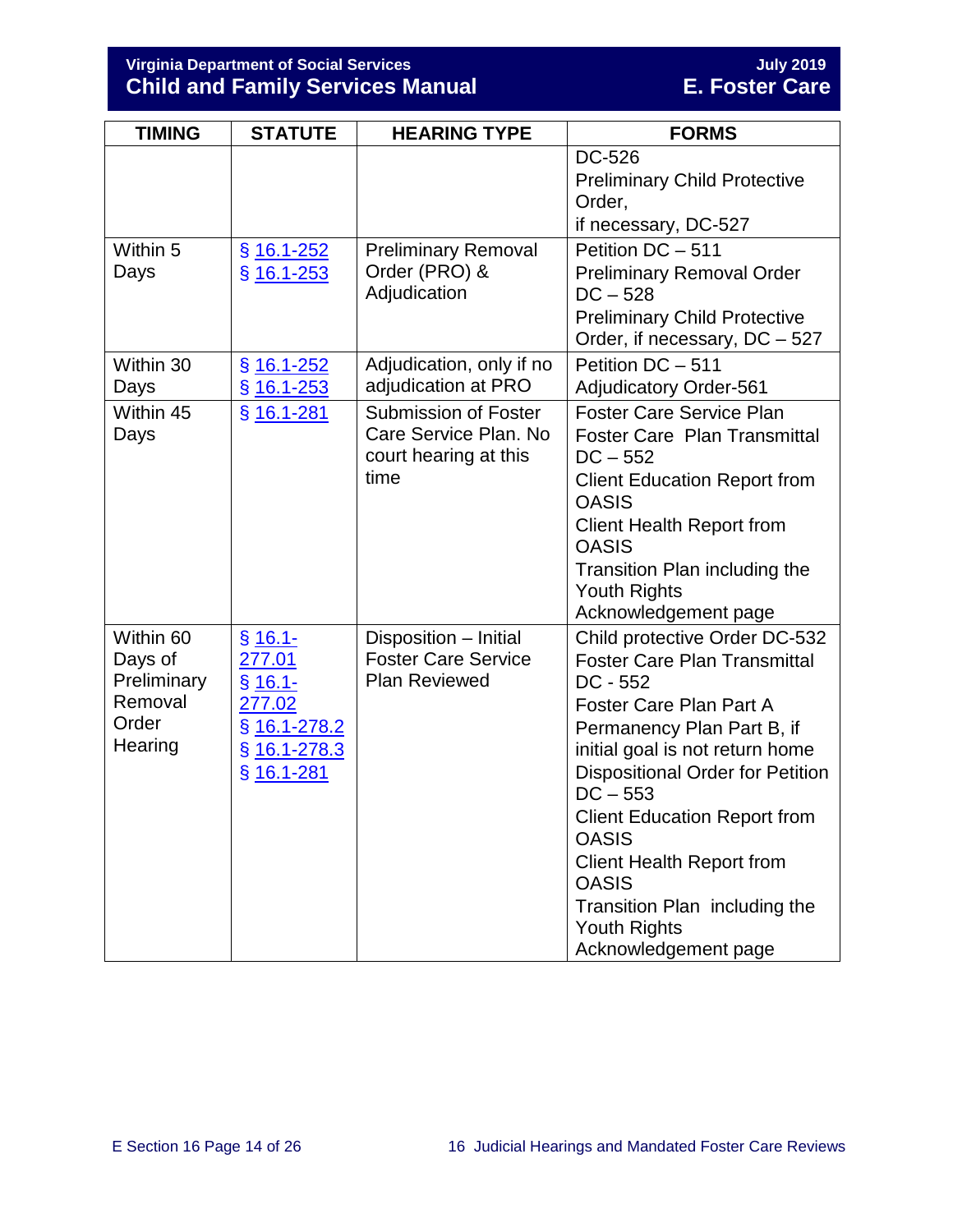## **Virginia Department of Social Services July 2019 Child and Family Services Manual E. Foster Care**

| <b>TIMING</b>                                                      | <b>STATUTE</b>                                                                               | <b>HEARING TYPE</b>                                                                   | <b>FORMS</b>                                                                                                                                                                                                                                                                                                                                                                                                                       |
|--------------------------------------------------------------------|----------------------------------------------------------------------------------------------|---------------------------------------------------------------------------------------|------------------------------------------------------------------------------------------------------------------------------------------------------------------------------------------------------------------------------------------------------------------------------------------------------------------------------------------------------------------------------------------------------------------------------------|
|                                                                    |                                                                                              |                                                                                       | DC-526<br><b>Preliminary Child Protective</b><br>Order,<br>if necessary, DC-527                                                                                                                                                                                                                                                                                                                                                    |
| Within 5<br>Days                                                   | $§$ 16.1-252<br>$$16.1 - 253$                                                                | <b>Preliminary Removal</b><br>Order (PRO) &<br>Adjudication                           | Petition DC - 511<br><b>Preliminary Removal Order</b><br>$DC - 528$<br><b>Preliminary Child Protective</b><br>Order, if necessary, DC - 527                                                                                                                                                                                                                                                                                        |
| Within 30<br>Days                                                  | $$16.1 - 252$<br>$$16.1 - 253$                                                               | Adjudication, only if no<br>adjudication at PRO                                       | Petition DC - 511<br><b>Adjudicatory Order-561</b>                                                                                                                                                                                                                                                                                                                                                                                 |
| Within 45<br>Days                                                  | § 16.1-281                                                                                   | <b>Submission of Foster</b><br>Care Service Plan. No<br>court hearing at this<br>time | <b>Foster Care Service Plan</b><br><b>Foster Care Plan Transmittal</b><br>$DC - 552$<br><b>Client Education Report from</b><br><b>OASIS</b><br><b>Client Health Report from</b><br><b>OASIS</b><br>Transition Plan including the<br><b>Youth Rights</b><br>Acknowledgement page                                                                                                                                                    |
| Within 60<br>Days of<br>Preliminary<br>Removal<br>Order<br>Hearing | $§ 16.1 -$<br>277.01<br>$§ 16.1 -$<br>277.02<br>§ 16.1-278.2<br>§ 16.1-278.3<br>$§$ 16.1-281 | Disposition - Initial<br><b>Foster Care Service</b><br><b>Plan Reviewed</b>           | Child protective Order DC-532<br><b>Foster Care Plan Transmittal</b><br>$DC - 552$<br>Foster Care Plan Part A<br>Permanency Plan Part B, if<br>initial goal is not return home<br><b>Dispositional Order for Petition</b><br>$DC - 553$<br><b>Client Education Report from</b><br><b>OASIS</b><br><b>Client Health Report from</b><br><b>OASIS</b><br>Transition Plan including the<br><b>Youth Rights</b><br>Acknowledgement page |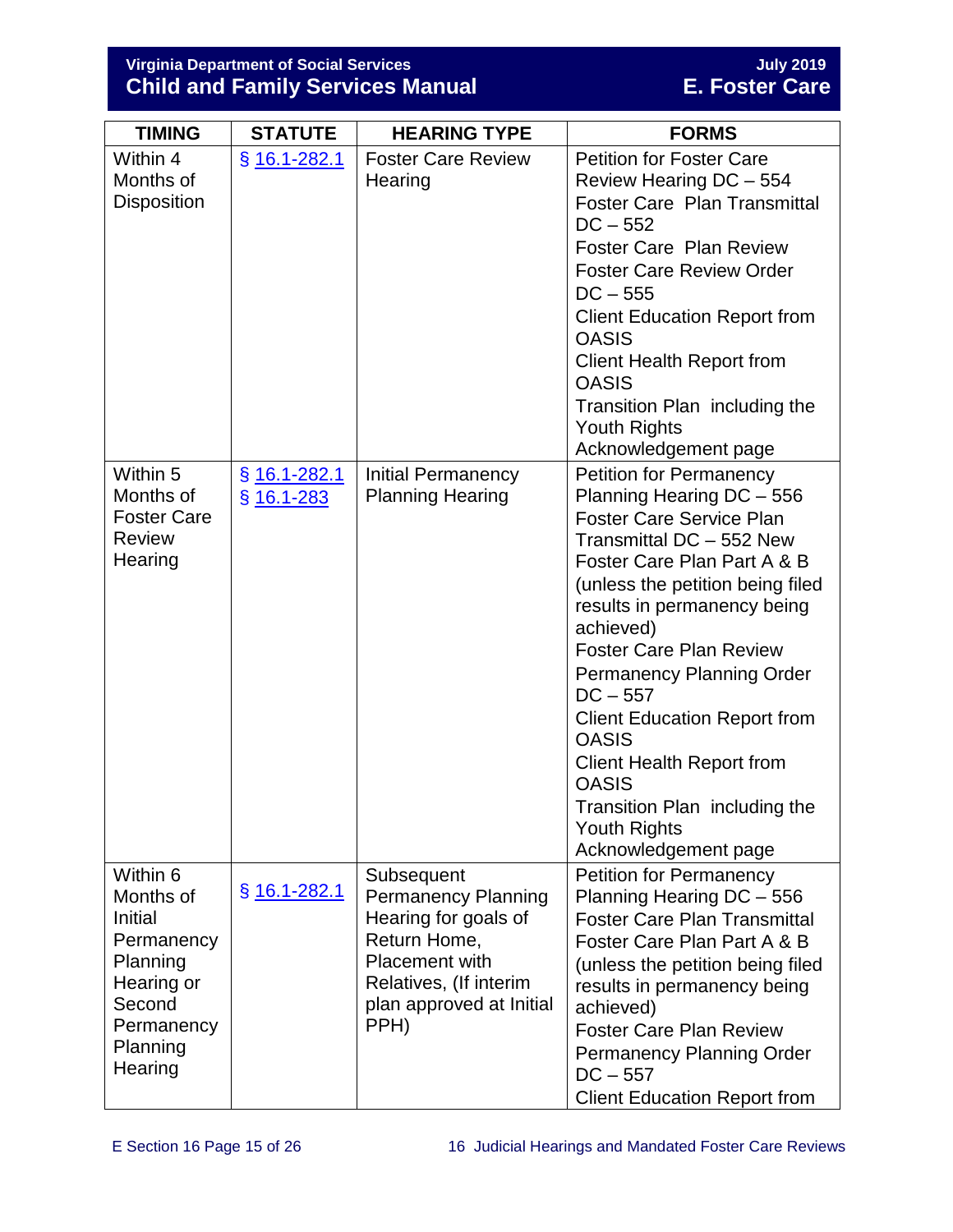## **Virginia Department of Social Services July 2019 Child and Family Services Manual E. Foster Care**

| <b>TIMING</b>                                                                                                           | <b>STATUTE</b>                 | <b>HEARING TYPE</b>                                                                                                                                                     | <b>FORMS</b>                                                                                                                                                                                                                                                                                                                                                                                                                                                                                                             |
|-------------------------------------------------------------------------------------------------------------------------|--------------------------------|-------------------------------------------------------------------------------------------------------------------------------------------------------------------------|--------------------------------------------------------------------------------------------------------------------------------------------------------------------------------------------------------------------------------------------------------------------------------------------------------------------------------------------------------------------------------------------------------------------------------------------------------------------------------------------------------------------------|
| Within 4<br>Months of<br><b>Disposition</b>                                                                             | § 16.1-282.1                   | <b>Foster Care Review</b><br>Hearing                                                                                                                                    | <b>Petition for Foster Care</b><br>Review Hearing DC - 554<br><b>Foster Care Plan Transmittal</b><br>$DC - 552$<br><b>Foster Care Plan Review</b><br><b>Foster Care Review Order</b><br>$DC - 555$<br><b>Client Education Report from</b><br><b>OASIS</b><br><b>Client Health Report from</b><br><b>OASIS</b><br>Transition Plan including the<br><b>Youth Rights</b><br>Acknowledgement page                                                                                                                            |
| Within 5<br>Months of<br><b>Foster Care</b><br><b>Review</b><br>Hearing                                                 | $§$ 16.1-282.1<br>$§$ 16.1-283 | <b>Initial Permanency</b><br><b>Planning Hearing</b>                                                                                                                    | <b>Petition for Permanency</b><br>Planning Hearing DC - 556<br><b>Foster Care Service Plan</b><br>Transmittal DC - 552 New<br>Foster Care Plan Part A & B<br>(unless the petition being filed<br>results in permanency being<br>achieved)<br><b>Foster Care Plan Review</b><br><b>Permanency Planning Order</b><br>$DC - 557$<br><b>Client Education Report from</b><br><b>OASIS</b><br><b>Client Health Report from</b><br><b>OASIS</b><br>Transition Plan including the<br><b>Youth Rights</b><br>Acknowledgement page |
| Within 6<br>Months of<br>Initial<br>Permanency<br>Planning<br>Hearing or<br>Second<br>Permanency<br>Planning<br>Hearing | $§$ 16.1-282.1                 | Subsequent<br><b>Permanency Planning</b><br>Hearing for goals of<br>Return Home,<br><b>Placement with</b><br>Relatives, (If interim<br>plan approved at Initial<br>PPH) | <b>Petition for Permanency</b><br>Planning Hearing DC - 556<br><b>Foster Care Plan Transmittal</b><br>Foster Care Plan Part A & B<br>(unless the petition being filed<br>results in permanency being<br>achieved)<br><b>Foster Care Plan Review</b><br><b>Permanency Planning Order</b><br>$DC - 557$<br><b>Client Education Report from</b>                                                                                                                                                                             |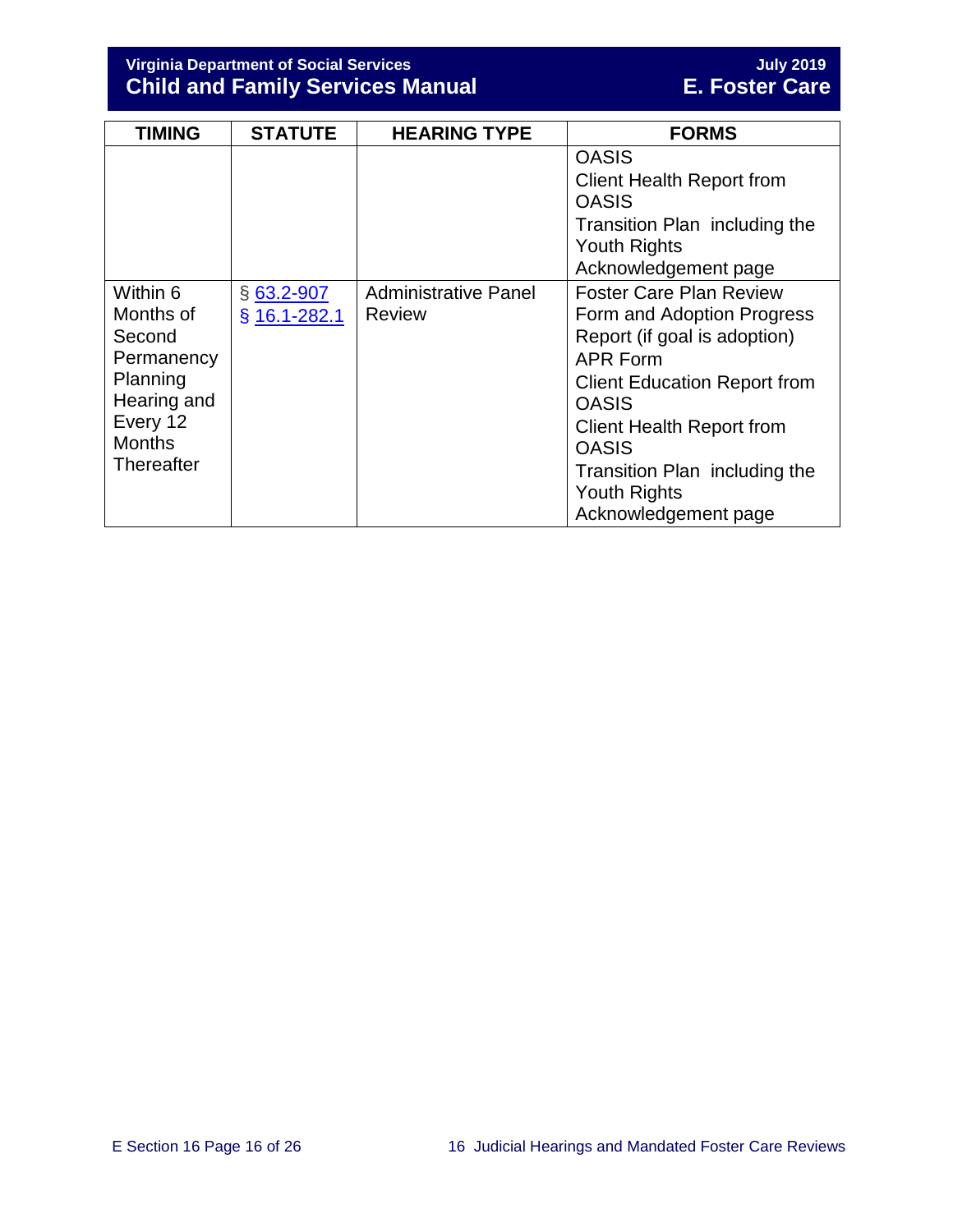**Virginia Department of Social Services July 2019 Child and Family Services Manual E. Foster Care**

| <b>TIMING</b>                                                                                                              | <b>STATUTE</b>               | <b>HEARING TYPE</b>                          | <b>FORMS</b>                                                                                                                                                                                                                                                                                               |
|----------------------------------------------------------------------------------------------------------------------------|------------------------------|----------------------------------------------|------------------------------------------------------------------------------------------------------------------------------------------------------------------------------------------------------------------------------------------------------------------------------------------------------------|
|                                                                                                                            |                              |                                              | <b>OASIS</b><br><b>Client Health Report from</b><br><b>OASIS</b><br>Transition Plan including the<br><b>Youth Rights</b><br>Acknowledgement page                                                                                                                                                           |
| Within 6<br>Months of<br>Second<br>Permanency<br>Planning<br>Hearing and<br>Every 12<br><b>Months</b><br><b>Thereafter</b> | $§$ 63.2-907<br>§ 16.1-282.1 | <b>Administrative Panel</b><br><b>Review</b> | <b>Foster Care Plan Review</b><br>Form and Adoption Progress<br>Report (if goal is adoption)<br><b>APR Form</b><br><b>Client Education Report from</b><br><b>OASIS</b><br><b>Client Health Report from</b><br><b>OASIS</b><br>Transition Plan including the<br><b>Youth Rights</b><br>Acknowledgement page |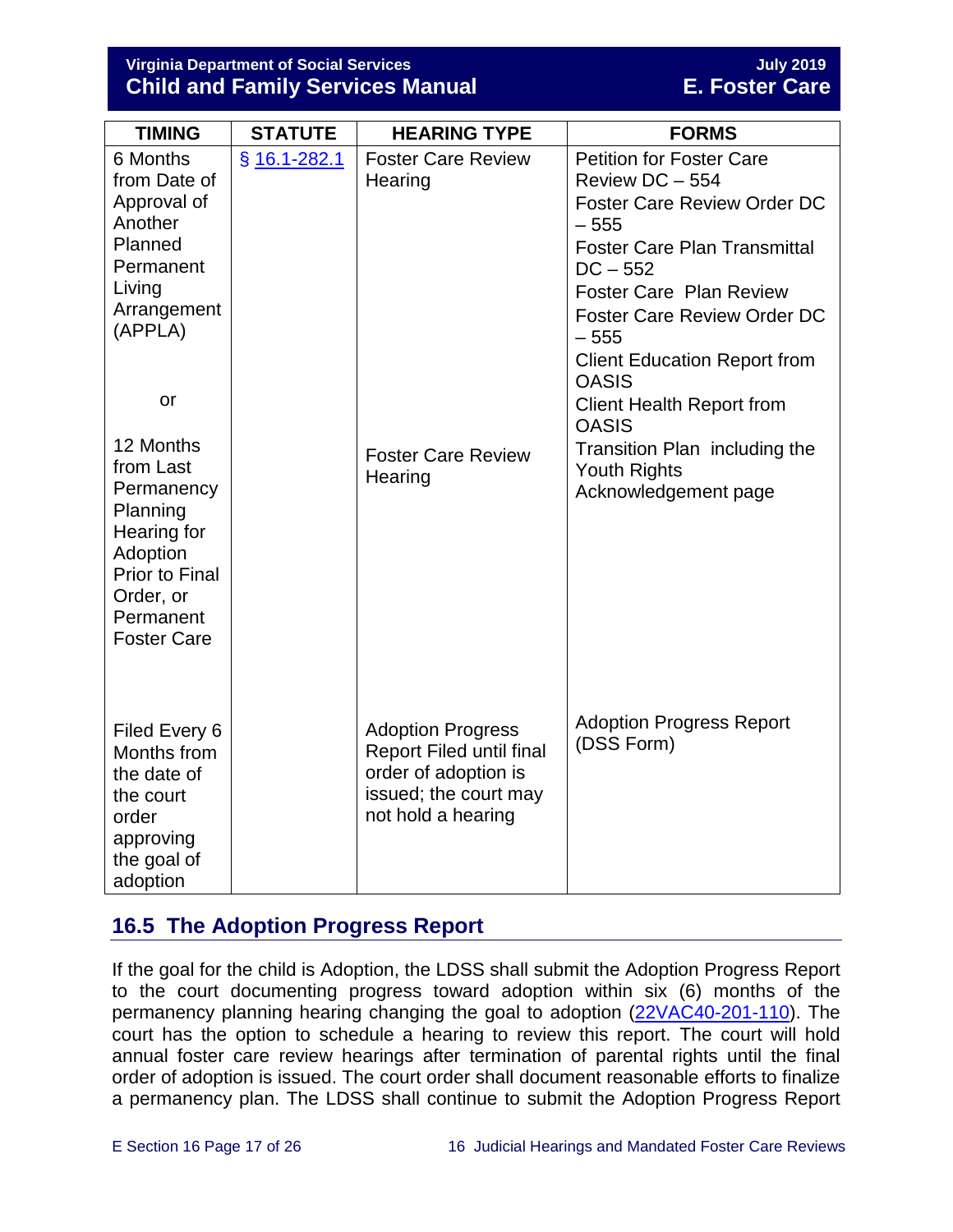**Virginia Department of Social Services July 2019 Child and Family Services Manual** 

| <b>TIMING</b>                                     | <b>STATUTE</b> | <b>HEARING TYPE</b>                                     | <b>FORMS</b>                                         |
|---------------------------------------------------|----------------|---------------------------------------------------------|------------------------------------------------------|
| 6 Months<br>from Date of                          | § 16.1-282.1   | <b>Foster Care Review</b><br>Hearing                    | <b>Petition for Foster Care</b><br>Review DC - 554   |
| Approval of<br>Another                            |                |                                                         | <b>Foster Care Review Order DC</b><br>$-555$         |
| Planned<br>Permanent                              |                |                                                         | <b>Foster Care Plan Transmittal</b><br>$DC - 552$    |
| Living                                            |                |                                                         | <b>Foster Care Plan Review</b>                       |
| Arrangement<br>(APPLA)                            |                |                                                         | <b>Foster Care Review Order DC</b><br>$-555$         |
|                                                   |                |                                                         | <b>Client Education Report from</b><br><b>OASIS</b>  |
| or                                                |                |                                                         | <b>Client Health Report from</b><br><b>OASIS</b>     |
| 12 Months<br>from Last                            |                | <b>Foster Care Review</b><br>Hearing                    | Transition Plan including the<br><b>Youth Rights</b> |
| Permanency<br>Planning<br>Hearing for<br>Adoption |                |                                                         | Acknowledgement page                                 |
| <b>Prior to Final</b><br>Order, or<br>Permanent   |                |                                                         |                                                      |
| <b>Foster Care</b>                                |                |                                                         |                                                      |
| Filed Every 6                                     |                | <b>Adoption Progress</b>                                | <b>Adoption Progress Report</b>                      |
| Months from<br>the date of                        |                | <b>Report Filed until final</b><br>order of adoption is | (DSS Form)                                           |
| the court<br>order                                |                | issued; the court may<br>not hold a hearing             |                                                      |
| approving<br>the goal of                          |                |                                                         |                                                      |
| adoption                                          |                |                                                         |                                                      |

## <span id="page-16-0"></span>**16.5 The Adoption Progress Report**

If the goal for the child is Adoption, the LDSS shall submit the Adoption Progress Report to the court documenting progress toward adoption within six (6) months of the permanency planning hearing changing the goal to adoption [\(22VAC40-201-110\)](https://law.lis.virginia.gov/admincode/title22/agency40/chapter201/section110/). The court has the option to schedule a hearing to review this report. The court will hold annual foster care review hearings after termination of parental rights until the final order of adoption is issued. The court order shall document reasonable efforts to finalize a permanency plan. The LDSS shall continue to submit the Adoption Progress Report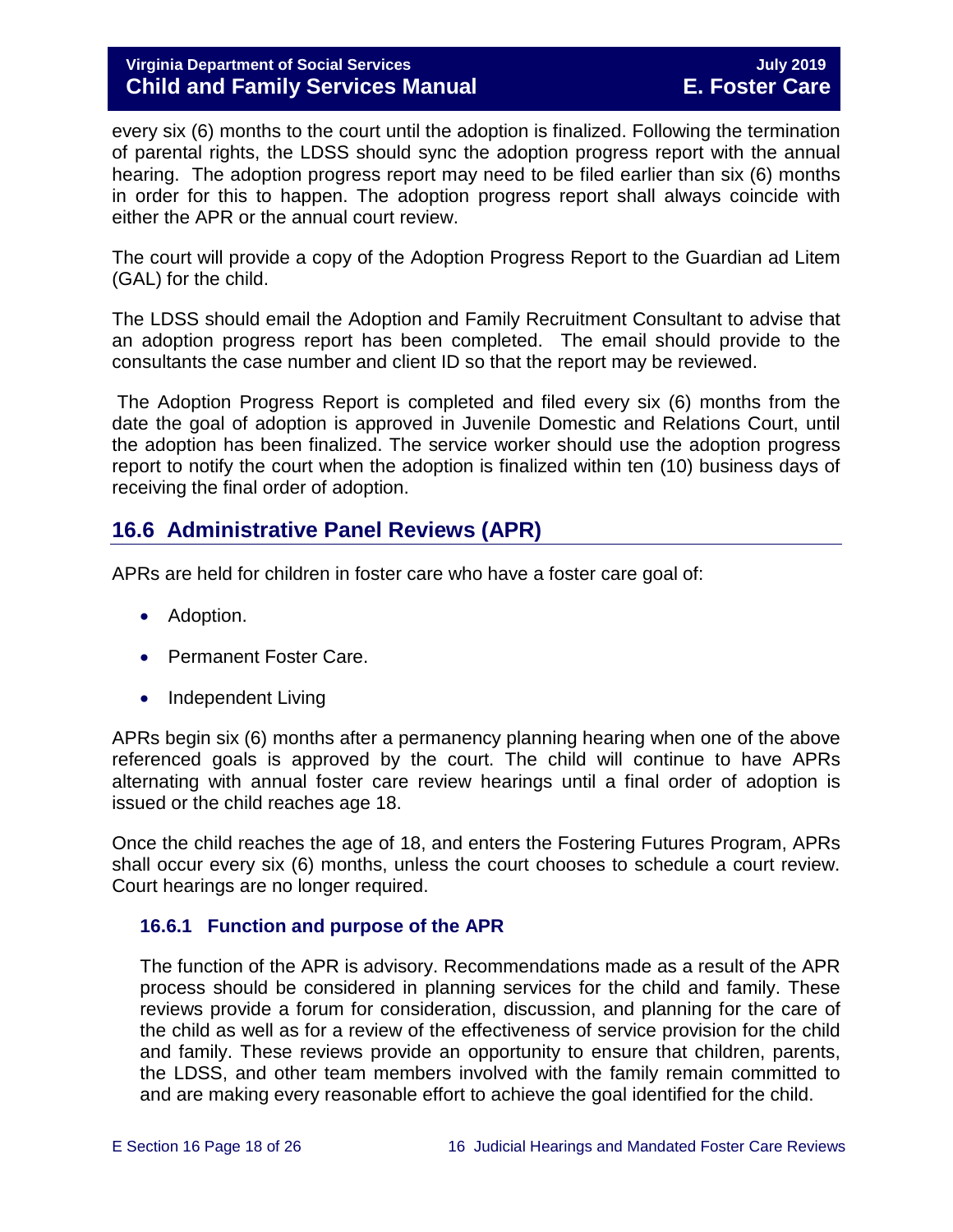every six (6) months to the court until the adoption is finalized. Following the termination of parental rights, the LDSS should sync the adoption progress report with the annual hearing. The adoption progress report may need to be filed earlier than six (6) months in order for this to happen. The adoption progress report shall always coincide with either the APR or the annual court review.

The court will provide a copy of the Adoption Progress Report to the Guardian ad Litem (GAL) for the child.

The LDSS should email the Adoption and Family Recruitment Consultant to advise that an adoption progress report has been completed. The email should provide to the consultants the case number and client ID so that the report may be reviewed.

The Adoption Progress Report is completed and filed every six (6) months from the date the goal of adoption is approved in Juvenile Domestic and Relations Court, until the adoption has been finalized. The service worker should use the adoption progress report to notify the court when the adoption is finalized within ten (10) business days of receiving the final order of adoption.

## <span id="page-17-0"></span>**16.6 Administrative Panel Reviews (APR)**

APRs are held for children in foster care who have a foster care goal of:

- Adoption.
- Permanent Foster Care.
- Independent Living

APRs begin six (6) months after a permanency planning hearing when one of the above referenced goals is approved by the court. The child will continue to have APRs alternating with annual foster care review hearings until a final order of adoption is issued or the child reaches age 18.

Once the child reaches the age of 18, and enters the Fostering Futures Program, APRs shall occur every six (6) months, unless the court chooses to schedule a court review. Court hearings are no longer required.

## <span id="page-17-1"></span>**16.6.1 Function and purpose of the APR**

The function of the APR is advisory. Recommendations made as a result of the APR process should be considered in planning services for the child and family. These reviews provide a forum for consideration, discussion, and planning for the care of the child as well as for a review of the effectiveness of service provision for the child and family. These reviews provide an opportunity to ensure that children, parents, the LDSS, and other team members involved with the family remain committed to and are making every reasonable effort to achieve the goal identified for the child.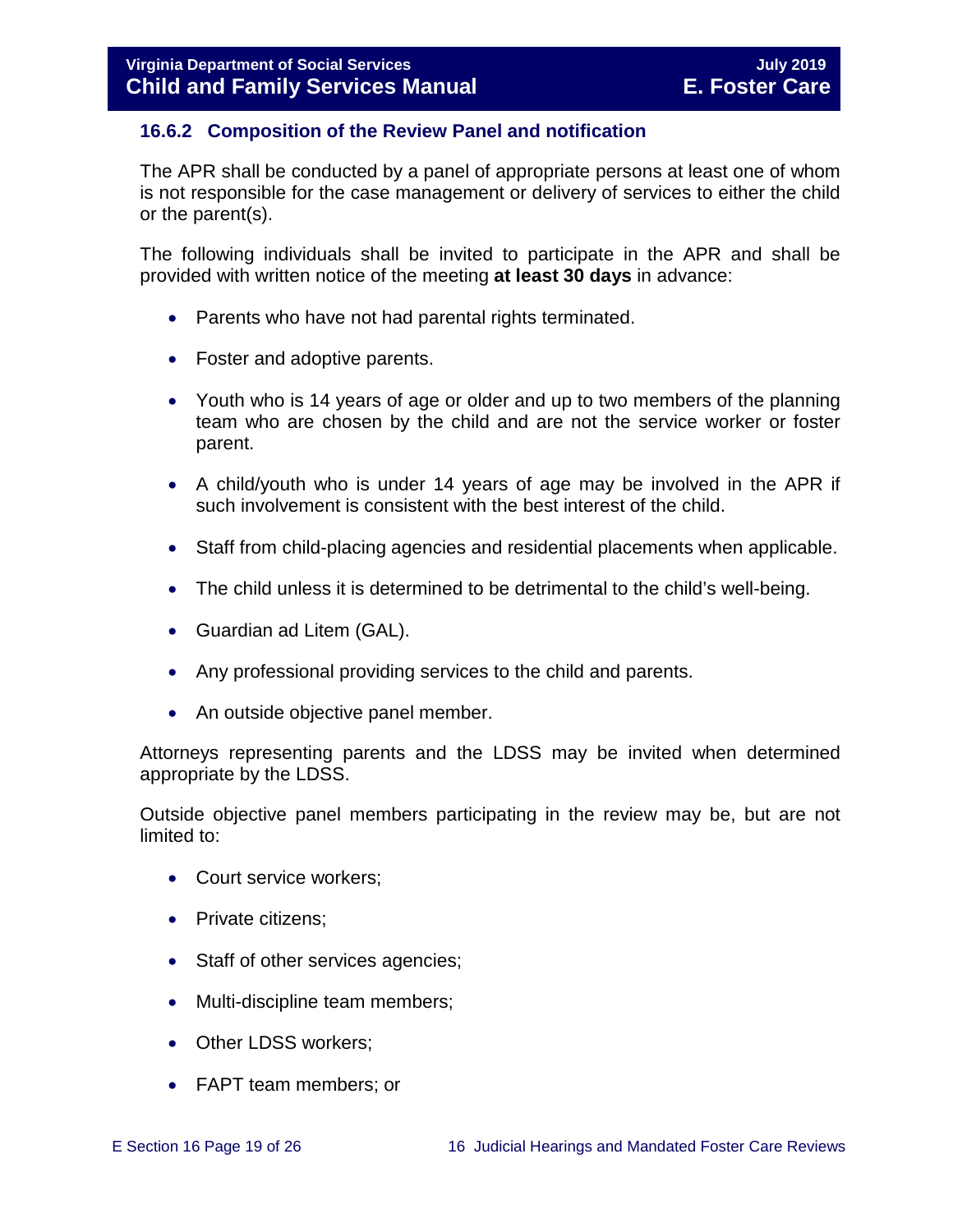## <span id="page-18-0"></span>**16.6.2 Composition of the Review Panel and notification**

The APR shall be conducted by a panel of appropriate persons at least one of whom is not responsible for the case management or delivery of services to either the child or the parent(s).

The following individuals shall be invited to participate in the APR and shall be provided with written notice of the meeting **at least 30 days** in advance:

- Parents who have not had parental rights terminated.
- Foster and adoptive parents.
- Youth who is 14 years of age or older and up to two members of the planning team who are chosen by the child and are not the service worker or foster parent.
- A child/youth who is under 14 years of age may be involved in the APR if such involvement is consistent with the best interest of the child.
- Staff from child-placing agencies and residential placements when applicable.
- The child unless it is determined to be detrimental to the child's well-being.
- Guardian ad Litem (GAL).
- Any professional providing services to the child and parents.
- An outside objective panel member.

Attorneys representing parents and the LDSS may be invited when determined appropriate by the LDSS.

Outside objective panel members participating in the review may be, but are not limited to:

- Court service workers;
- Private citizens:
- Staff of other services agencies;
- Multi-discipline team members;
- Other LDSS workers;
- FAPT team members; or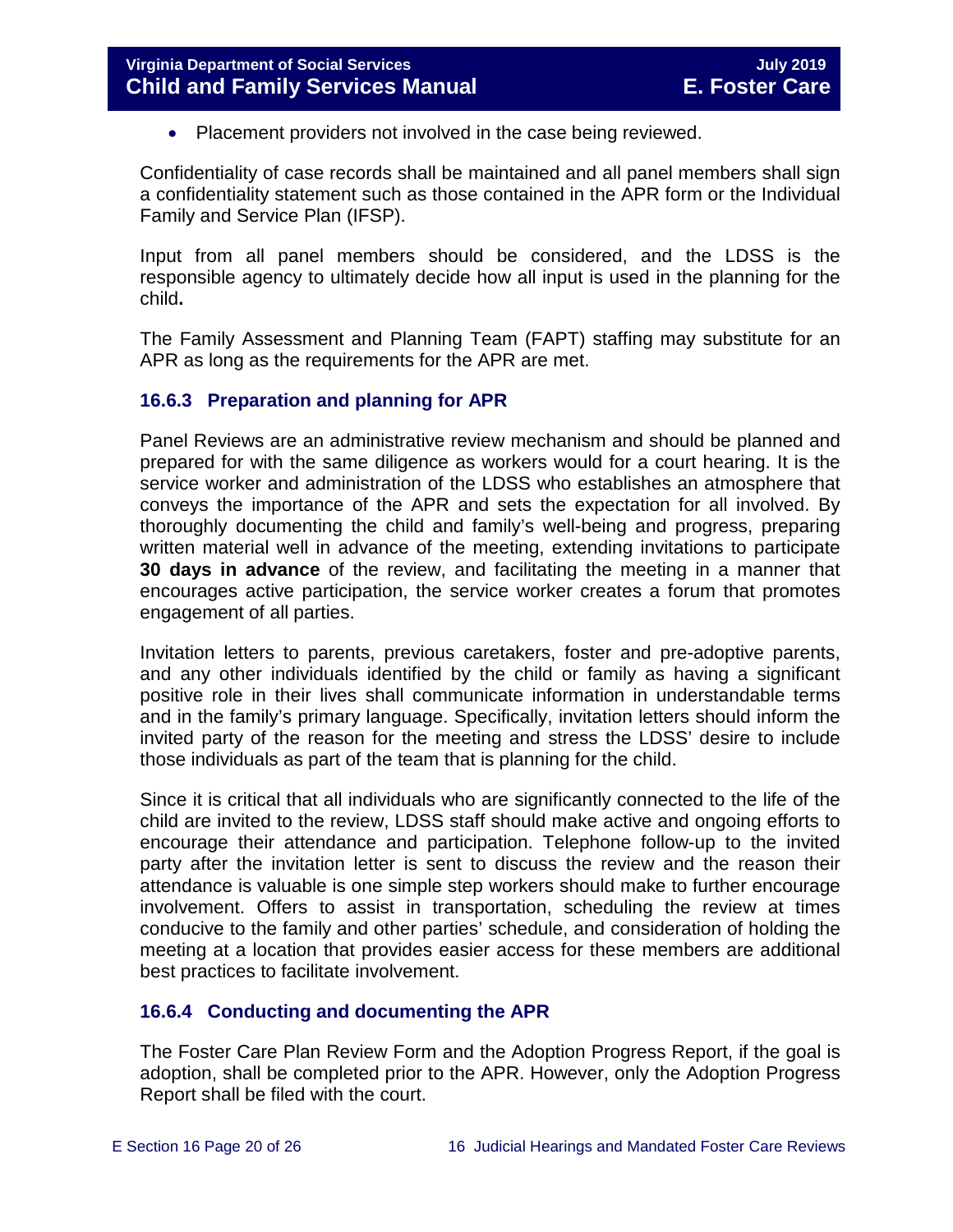• Placement providers not involved in the case being reviewed.

Confidentiality of case records shall be maintained and all panel members shall sign a confidentiality statement such as those contained in the APR form or the Individual Family and Service Plan (IFSP).

Input from all panel members should be considered, and the LDSS is the responsible agency to ultimately decide how all input is used in the planning for the child**.** 

The Family Assessment and Planning Team (FAPT) staffing may substitute for an APR as long as the requirements for the APR are met.

## <span id="page-19-0"></span>**16.6.3 Preparation and planning for APR**

Panel Reviews are an administrative review mechanism and should be planned and prepared for with the same diligence as workers would for a court hearing. It is the service worker and administration of the LDSS who establishes an atmosphere that conveys the importance of the APR and sets the expectation for all involved. By thoroughly documenting the child and family's well-being and progress, preparing written material well in advance of the meeting, extending invitations to participate **30 days in advance** of the review, and facilitating the meeting in a manner that encourages active participation, the service worker creates a forum that promotes engagement of all parties.

Invitation letters to parents, previous caretakers, foster and pre-adoptive parents, and any other individuals identified by the child or family as having a significant positive role in their lives shall communicate information in understandable terms and in the family's primary language. Specifically, invitation letters should inform the invited party of the reason for the meeting and stress the LDSS' desire to include those individuals as part of the team that is planning for the child.

Since it is critical that all individuals who are significantly connected to the life of the child are invited to the review, LDSS staff should make active and ongoing efforts to encourage their attendance and participation. Telephone follow-up to the invited party after the invitation letter is sent to discuss the review and the reason their attendance is valuable is one simple step workers should make to further encourage involvement. Offers to assist in transportation, scheduling the review at times conducive to the family and other parties' schedule, and consideration of holding the meeting at a location that provides easier access for these members are additional best practices to facilitate involvement.

## <span id="page-19-1"></span>**16.6.4 Conducting and documenting the APR**

The Foster Care Plan Review Form and the Adoption Progress Report, if the goal is adoption, shall be completed prior to the APR. However, only the Adoption Progress Report shall be filed with the court.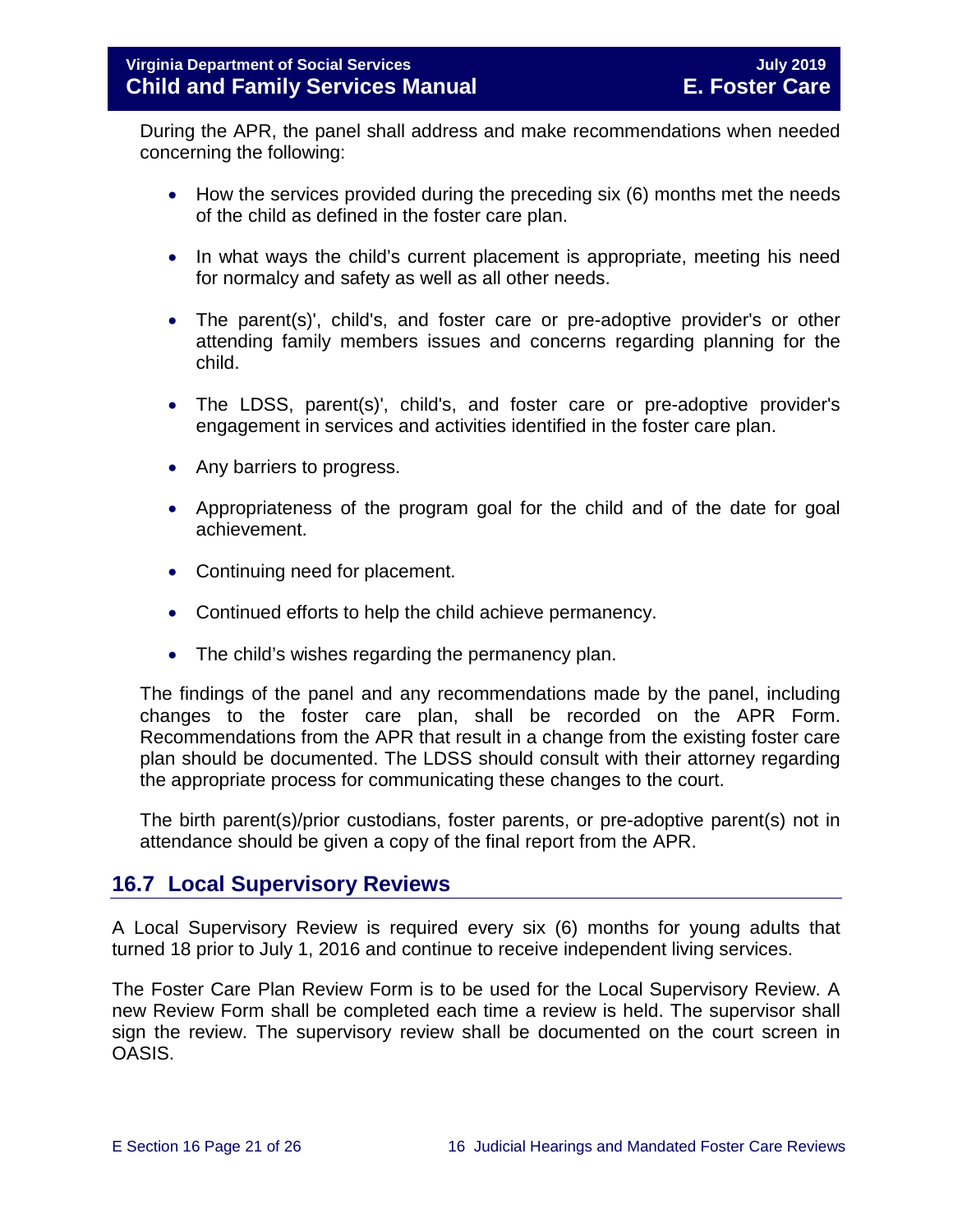During the APR, the panel shall address and make recommendations when needed concerning the following:

- How the services provided during the preceding six (6) months met the needs of the child as defined in the foster care plan.
- In what ways the child's current placement is appropriate, meeting his need for normalcy and safety as well as all other needs.
- The parent(s)', child's, and foster care or pre-adoptive provider's or other attending family members issues and concerns regarding planning for the child.
- The LDSS, parent(s)', child's, and foster care or pre-adoptive provider's engagement in services and activities identified in the foster care plan.
- Any barriers to progress.
- Appropriateness of the program goal for the child and of the date for goal achievement.
- Continuing need for placement.
- Continued efforts to help the child achieve permanency.
- The child's wishes regarding the permanency plan.

The findings of the panel and any recommendations made by the panel, including changes to the foster care plan, shall be recorded on the APR Form. Recommendations from the APR that result in a change from the existing foster care plan should be documented. The LDSS should consult with their attorney regarding the appropriate process for communicating these changes to the court.

The birth parent(s)/prior custodians, foster parents, or pre-adoptive parent(s) not in attendance should be given a copy of the final report from the APR.

## <span id="page-20-0"></span>**16.7 Local Supervisory Reviews**

A Local Supervisory Review is required every six (6) months for young adults that turned 18 prior to July 1, 2016 and continue to receive independent living services.

The Foster Care Plan Review Form is to be used for the Local Supervisory Review. A new Review Form shall be completed each time a review is held. The supervisor shall sign the review. The supervisory review shall be documented on the court screen in OASIS.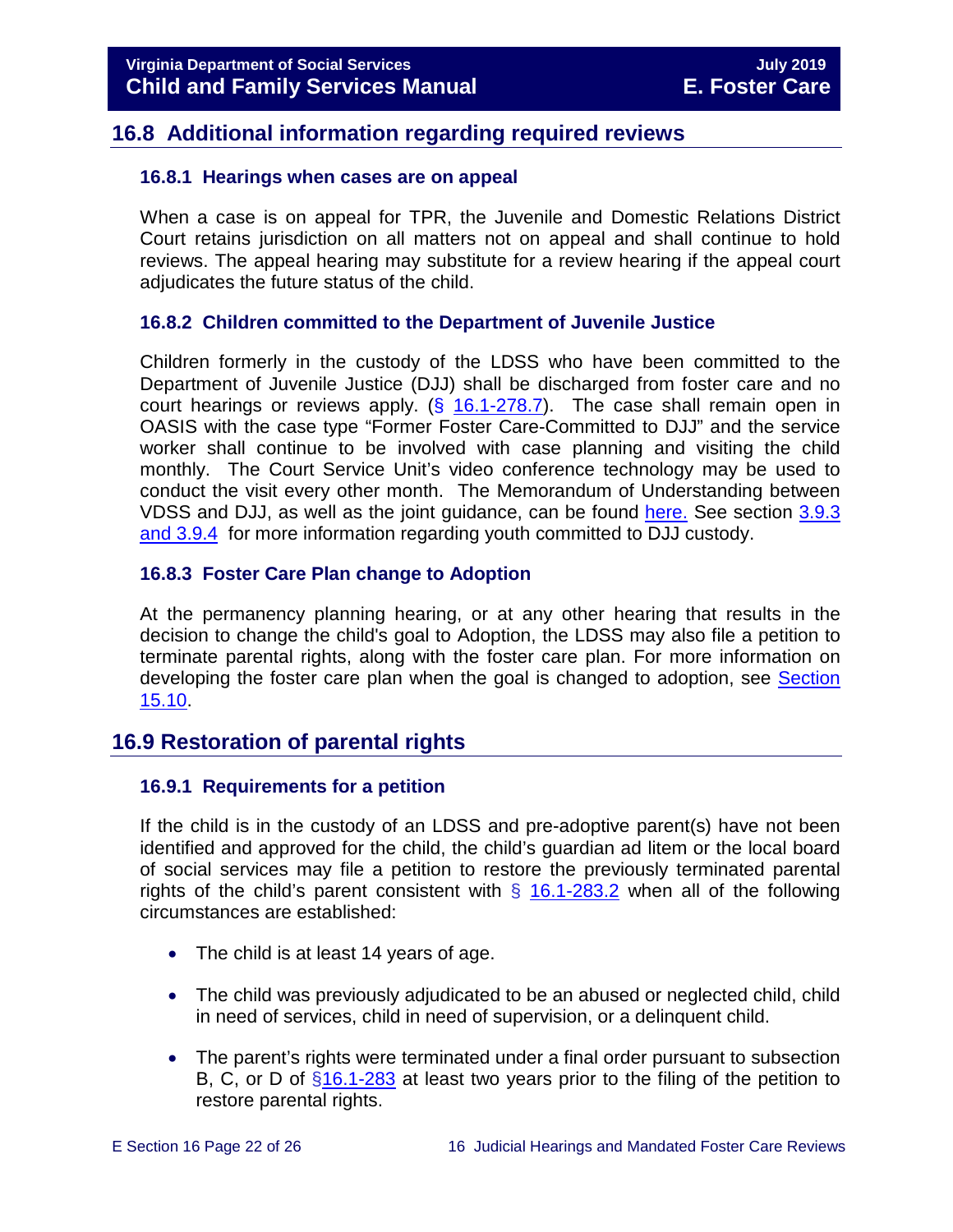## <span id="page-21-0"></span>**16.8 Additional information regarding required reviews**

## <span id="page-21-1"></span>**16.8.1 Hearings when cases are on appeal**

When a case is on appeal for TPR, the Juvenile and Domestic Relations District Court retains jurisdiction on all matters not on appeal and shall continue to hold reviews. The appeal hearing may substitute for a review hearing if the appeal court adjudicates the future status of the child.

## <span id="page-21-2"></span>**16.8.2 Children committed to the Department of Juvenile Justice**

Children formerly in the custody of the LDSS who have been committed to the Department of Juvenile Justice (DJJ) shall be discharged from foster care and no court hearings or reviews apply.  $(\frac{6}{16.1} - 278.7)$ . The case shall remain open in OASIS with the case type "Former Foster Care-Committed to DJJ" and the service worker shall continue to be involved with case planning and visiting the child monthly. The Court Service Unit's video conference technology may be used to conduct the visit every other month. The Memorandum of Understanding between VDSS and DJJ, as well as the joint guidance, can be found [here.](https://fusion.dss.virginia.gov/dfs/DFS-Home/Foster-Care/Juvenile-Justice) See section [3.9.3](https://fusion.dss.virginia.gov/Portals/%5bdfs%5d/Files/DFS%20Manuals/Foster%20Care%20Manuals/Foster%20Care%20Manual%2007-2019/section_3_entering_foster_care.pdf#page=29)  [and 3.9.4](https://fusion.dss.virginia.gov/Portals/%5bdfs%5d/Files/DFS%20Manuals/Foster%20Care%20Manuals/Foster%20Care%20Manual%2007-2019/section_3_entering_foster_care.pdf#page=29) for more information regarding youth committed to DJJ custody.

## <span id="page-21-3"></span>**16.8.3 Foster Care Plan change to Adoption**

At the permanency planning hearing, or at any other hearing that results in the decision to change the child's goal to Adoption, the LDSS may also file a petition to terminate parental rights, along with the foster care plan. For more information on developing the foster care plan when the goal is changed to adoption, see [Section](https://fusion.dss.virginia.gov/Portals/%5bdfs%5d/Files/DFS%20Manuals/Foster%20Care%20Manuals/Foster%20Care%20Manual%2007-2019/section_15_developing_service_plan.pdf#page=14)  [15.10.](https://fusion.dss.virginia.gov/Portals/%5bdfs%5d/Files/DFS%20Manuals/Foster%20Care%20Manuals/Foster%20Care%20Manual%2007-2019/section_15_developing_service_plan.pdf#page=14)

## <span id="page-21-4"></span>**16.9 Restoration of parental rights**

## <span id="page-21-5"></span>**16.9.1 Requirements for a petition**

If the child is in the custody of an LDSS and pre-adoptive parent(s) have not been identified and approved for the child, the child's guardian ad litem or the local board of social services may file a petition to restore the previously terminated parental rights of the child's parent consistent with  $\S$  [16.1-283.2](http://law.lis.virginia.gov/vacode/16.1-283.2/) when all of the following circumstances are established:

- The child is at least 14 years of age.
- The child was previously adjudicated to be an abused or neglected child, child in need of services, child in need of supervision, or a delinquent child.
- The parent's rights were terminated under a final order pursuant to subsection B, C, or D of [§16.1-283](http://law.lis.virginia.gov/vacode/16.1-283/) at least two years prior to the filing of the petition to restore parental rights.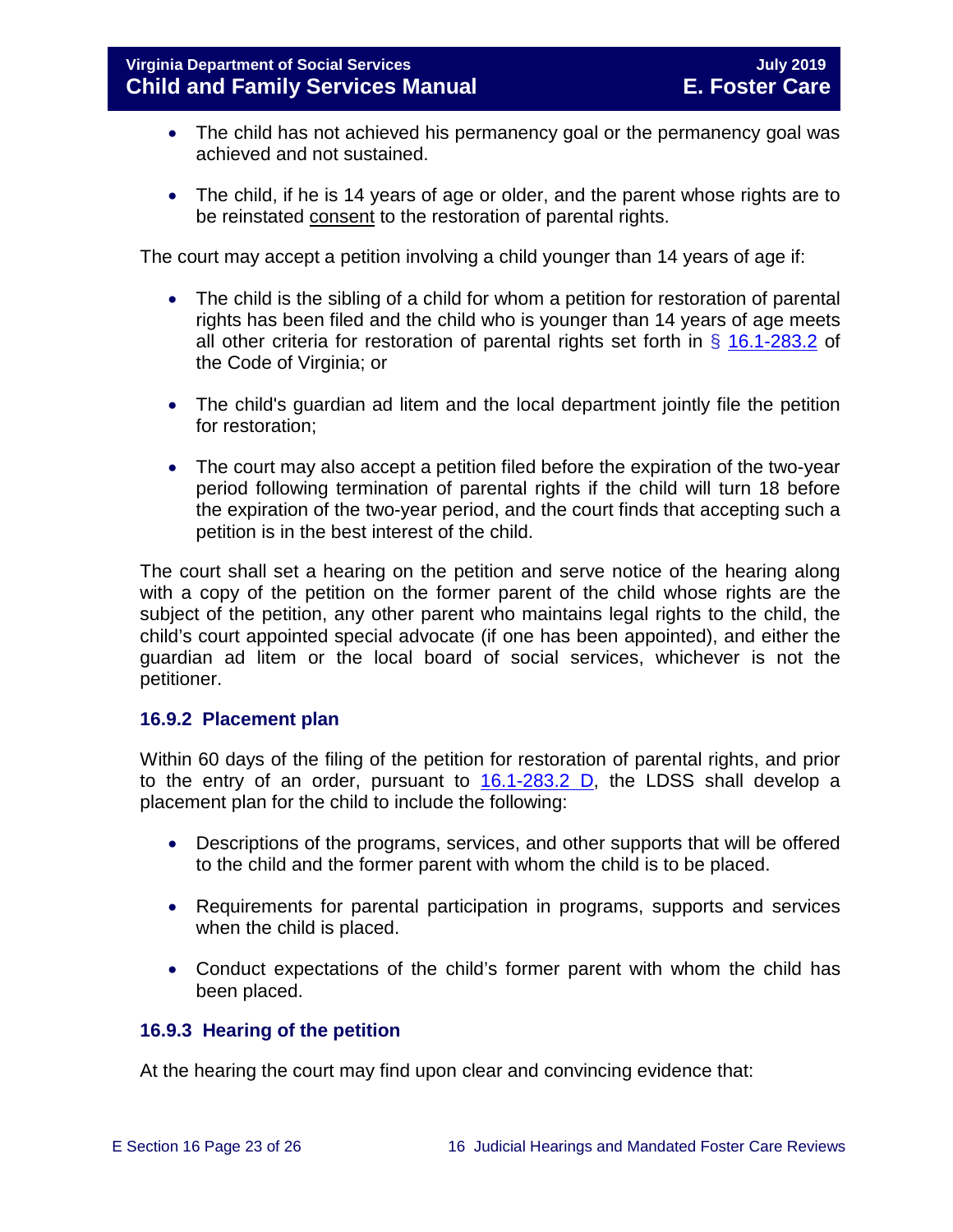- The child has not achieved his permanency goal or the permanency goal was achieved and not sustained.
- The child, if he is 14 years of age or older, and the parent whose rights are to be reinstated consent to the restoration of parental rights.

The court may accept a petition involving a child younger than 14 years of age if:

- The child is the sibling of a child for whom a petition for restoration of parental rights has been filed and the child who is younger than 14 years of age meets all other criteria for restoration of parental rights set forth in  $\S$  [16.1-283.2](http://law.lis.virginia.gov/vacode/title16.1/chapter11/section16.1-283.2/) of the Code of Virginia; or
- The child's guardian ad litem and the local department jointly file the petition for restoration;
- The court may also accept a petition filed before the expiration of the two-year period following termination of parental rights if the child will turn 18 before the expiration of the two-year period, and the court finds that accepting such a petition is in the best interest of the child.

The court shall set a hearing on the petition and serve notice of the hearing along with a copy of the petition on the former parent of the child whose rights are the subject of the petition, any other parent who maintains legal rights to the child, the child's court appointed special advocate (if one has been appointed), and either the guardian ad litem or the local board of social services, whichever is not the petitioner.

## <span id="page-22-0"></span>**16.9.2 Placement plan**

Within 60 days of the filing of the petition for restoration of parental rights, and prior to the entry of an order, pursuant to  $16.1-283.2$  D, the LDSS shall develop a placement plan for the child to include the following:

- Descriptions of the programs, services, and other supports that will be offered to the child and the former parent with whom the child is to be placed.
- Requirements for parental participation in programs, supports and services when the child is placed.
- Conduct expectations of the child's former parent with whom the child has been placed.

## <span id="page-22-1"></span>**16.9.3 Hearing of the petition**

At the hearing the court may find upon clear and convincing evidence that: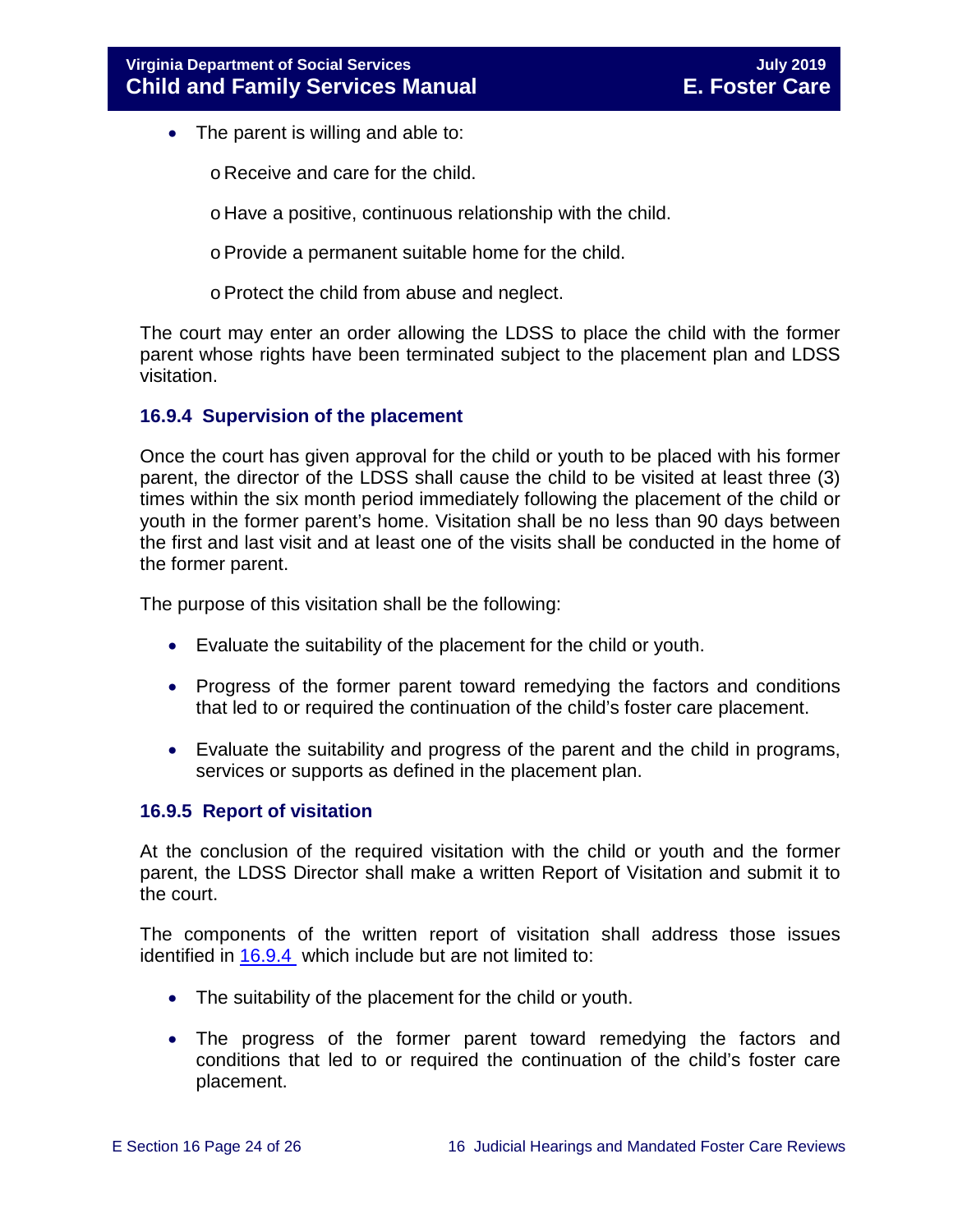- The parent is willing and able to:
	- o Receive and care for the child.
	- o Have a positive, continuous relationship with the child.
	- oProvide a permanent suitable home for the child.
	- oProtect the child from abuse and neglect.

The court may enter an order allowing the LDSS to place the child with the former parent whose rights have been terminated subject to the placement plan and LDSS visitation.

## <span id="page-23-0"></span>**16.9.4 Supervision of the placement**

Once the court has given approval for the child or youth to be placed with his former parent, the director of the LDSS shall cause the child to be visited at least three (3) times within the six month period immediately following the placement of the child or youth in the former parent's home. Visitation shall be no less than 90 days between the first and last visit and at least one of the visits shall be conducted in the home of the former parent.

The purpose of this visitation shall be the following:

- Evaluate the suitability of the placement for the child or youth.
- Progress of the former parent toward remedying the factors and conditions that led to or required the continuation of the child's foster care placement.
- Evaluate the suitability and progress of the parent and the child in programs, services or supports as defined in the placement plan.

## <span id="page-23-1"></span>**16.9.5 Report of visitation**

At the conclusion of the required visitation with the child or youth and the former parent, the LDSS Director shall make a written Report of Visitation and submit it to the court.

The components of the written report of visitation shall address those issues identified in [16.9.4](#page-23-0) which include but are not limited to:

- The suitability of the placement for the child or youth.
- The progress of the former parent toward remedying the factors and conditions that led to or required the continuation of the child's foster care placement.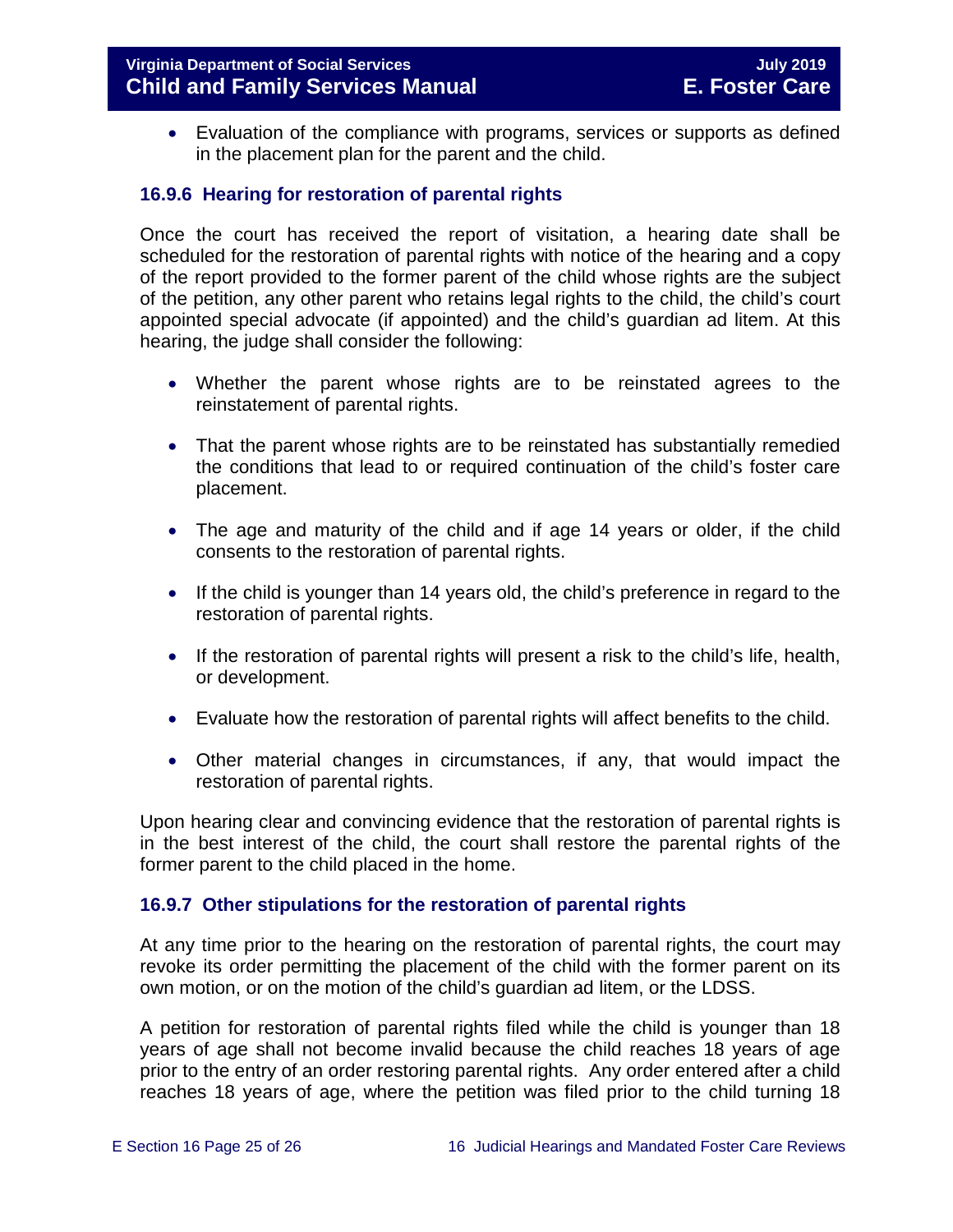• Evaluation of the compliance with programs, services or supports as defined in the placement plan for the parent and the child.

## <span id="page-24-0"></span>**16.9.6 Hearing for restoration of parental rights**

Once the court has received the report of visitation, a hearing date shall be scheduled for the restoration of parental rights with notice of the hearing and a copy of the report provided to the former parent of the child whose rights are the subject of the petition, any other parent who retains legal rights to the child, the child's court appointed special advocate (if appointed) and the child's guardian ad litem. At this hearing, the judge shall consider the following:

- Whether the parent whose rights are to be reinstated agrees to the reinstatement of parental rights.
- That the parent whose rights are to be reinstated has substantially remedied the conditions that lead to or required continuation of the child's foster care placement.
- The age and maturity of the child and if age 14 years or older, if the child consents to the restoration of parental rights.
- If the child is younger than 14 years old, the child's preference in regard to the restoration of parental rights.
- If the restoration of parental rights will present a risk to the child's life, health, or development.
- Evaluate how the restoration of parental rights will affect benefits to the child.
- Other material changes in circumstances, if any, that would impact the restoration of parental rights.

Upon hearing clear and convincing evidence that the restoration of parental rights is in the best interest of the child, the court shall restore the parental rights of the former parent to the child placed in the home.

## <span id="page-24-1"></span>**16.9.7 Other stipulations for the restoration of parental rights**

At any time prior to the hearing on the restoration of parental rights, the court may revoke its order permitting the placement of the child with the former parent on its own motion, or on the motion of the child's guardian ad litem, or the LDSS.

A petition for restoration of parental rights filed while the child is younger than 18 years of age shall not become invalid because the child reaches 18 years of age prior to the entry of an order restoring parental rights. Any order entered after a child reaches 18 years of age, where the petition was filed prior to the child turning 18